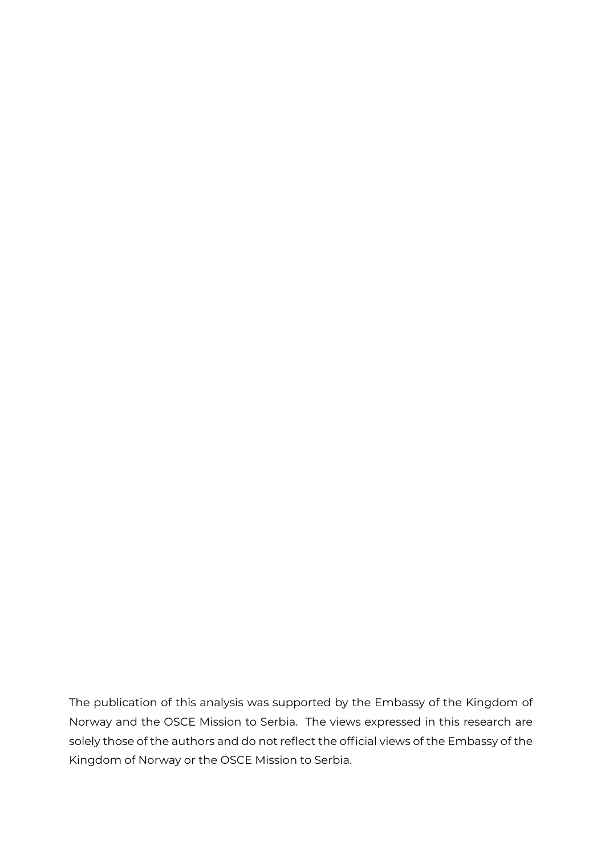The publication of this analysis was supported by the Embassy of the Kingdom of Norway and the OSCE Mission to Serbia. The views expressed in this research are solely those of the authors and do not reflect the official views of the Embassy of the Kingdom of Norway or the OSCE Mission to Serbia.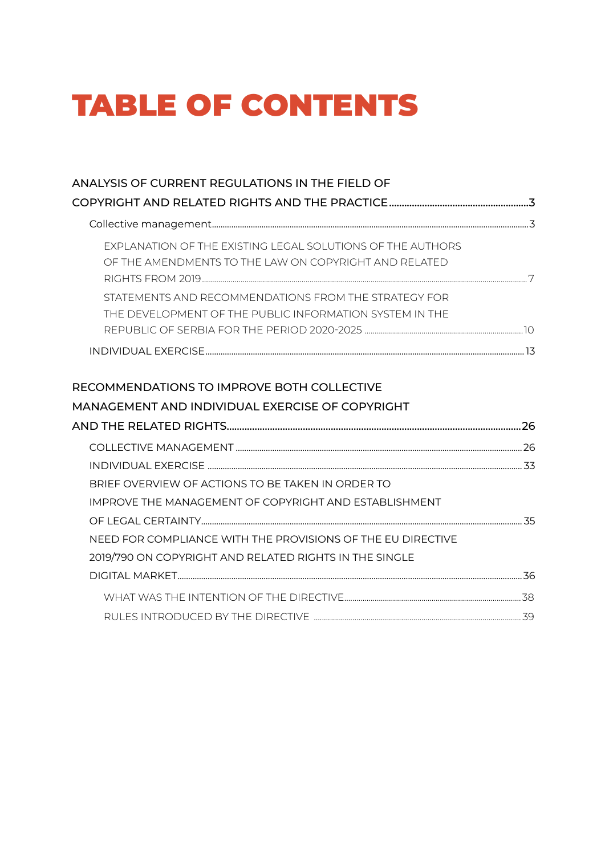# TABLE OF CONTENTS

| ANALYSIS OF CURRENT REGULATIONS IN THE FIELD OF                                                                       |  |
|-----------------------------------------------------------------------------------------------------------------------|--|
|                                                                                                                       |  |
|                                                                                                                       |  |
| EXPLANATION OF THE EXISTING LEGAL SOLUTIONS OF THE AUTHORS<br>OF THE AMENDMENTS TO THE LAW ON COPYRIGHT AND RELATED   |  |
| STATEMENTS AND RECOMMENDATIONS FROM THE STRATEGY FOR<br>THE DEVELOPMENT OF THE PUBLIC INFORMATION SYSTEM IN THE       |  |
|                                                                                                                       |  |
|                                                                                                                       |  |
| MANAGEMENT AND INDIVIDUAL EXERCISE OF COPYRIGHT                                                                       |  |
|                                                                                                                       |  |
|                                                                                                                       |  |
| BRIEF OVERVIEW OF ACTIONS TO BE TAKEN IN ORDER TO<br>IMPROVE THE MANAGEMENT OF COPYRIGHT AND ESTABLISHMENT            |  |
| NEED FOR COMPLIANCE WITH THE PROVISIONS OF THE EU DIRECTIVE<br>2019/790 ON COPYRIGHT AND RELATED RIGHTS IN THE SINGLE |  |
|                                                                                                                       |  |
|                                                                                                                       |  |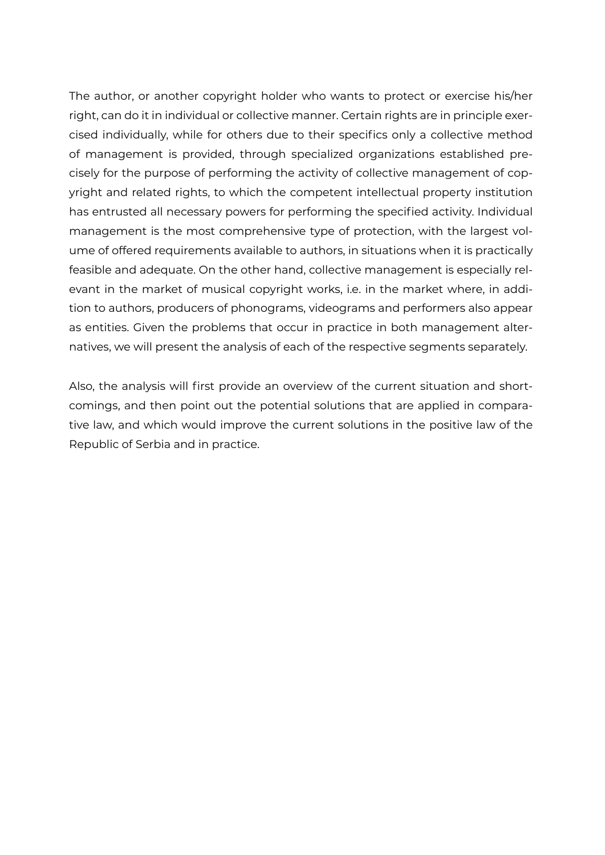The author, or another copyright holder who wants to protect or exercise his/her right, can do it in individual or collective manner. Certain rights are in principle exercised individually, while for others due to their specifics only a collective method of management is provided, through specialized organizations established precisely for the purpose of performing the activity of collective management of copyright and related rights, to which the competent intellectual property institution has entrusted all necessary powers for performing the specified activity. Individual management is the most comprehensive type of protection, with the largest volume of offered requirements available to authors, in situations when it is practically feasible and adequate. On the other hand, collective management is especially relevant in the market of musical copyright works, i.e. in the market where, in addition to authors, producers of phonograms, videograms and performers also appear as entities. Given the problems that occur in practice in both management alternatives, we will present the analysis of each of the respective segments separately.

Also, the analysis will first provide an overview of the current situation and shortcomings, and then point out the potential solutions that are applied in comparative law, and which would improve the current solutions in the positive law of the Republic of Serbia and in practice.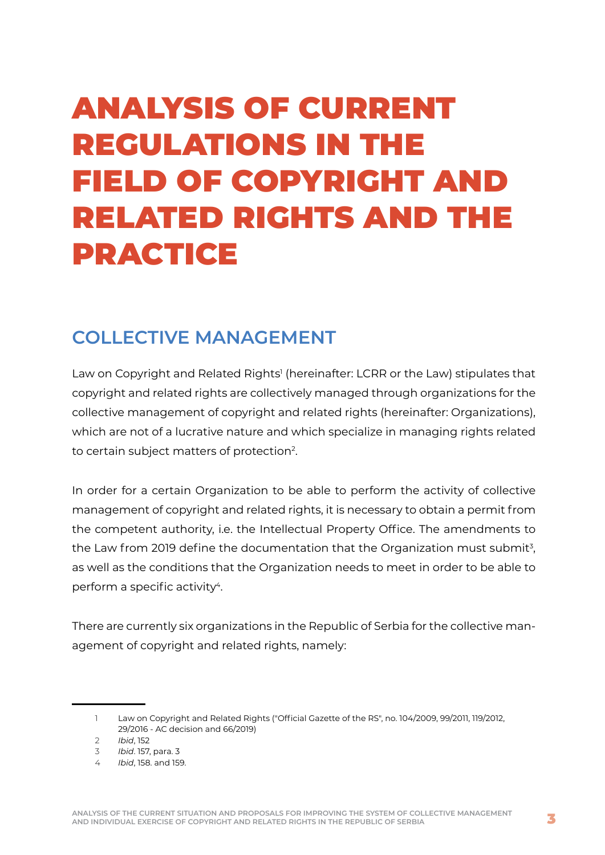# <span id="page-3-0"></span>ANALYSIS OF CURRENT REGULATIONS IN THE FIELD OF COPYRIGHT AND RELATED RIGHTS AND THE PRACTICE

## **COLLECTIVE MANAGEMENT**

Law on Copyright and Related Rights<sup>1</sup> (hereinafter: LCRR or the Law) stipulates that copyright and related rights are collectively managed through organizations for the collective management of copyright and related rights (hereinafter: Organizations), which are not of a lucrative nature and which specialize in managing rights related to certain subject matters of protection2.

In order for a certain Organization to be able to perform the activity of collective management of copyright and related rights, it is necessary to obtain a permit from the competent authority, i.e. the Intellectual Property Office. The amendments to the Law from 2019 define the documentation that the Organization must submit<sup>3</sup>, as well as the conditions that the Organization needs to meet in order to be able to perform a specific activity<sup>4</sup>.

There are currently six organizations in the Republic of Serbia for the collective management of copyright and related rights, namely:

<sup>1</sup> Law on Copyright and Related Rights ("Official Gazette of the RS", no. 104/2009, 99/2011, 119/2012, 29/2016 - AC decision and 66/2019)

<sup>2</sup> *Ibid*, 152

<sup>3</sup> *Ibid*. 157, para. 3

<sup>4</sup> *Ibid*, 158. and 159.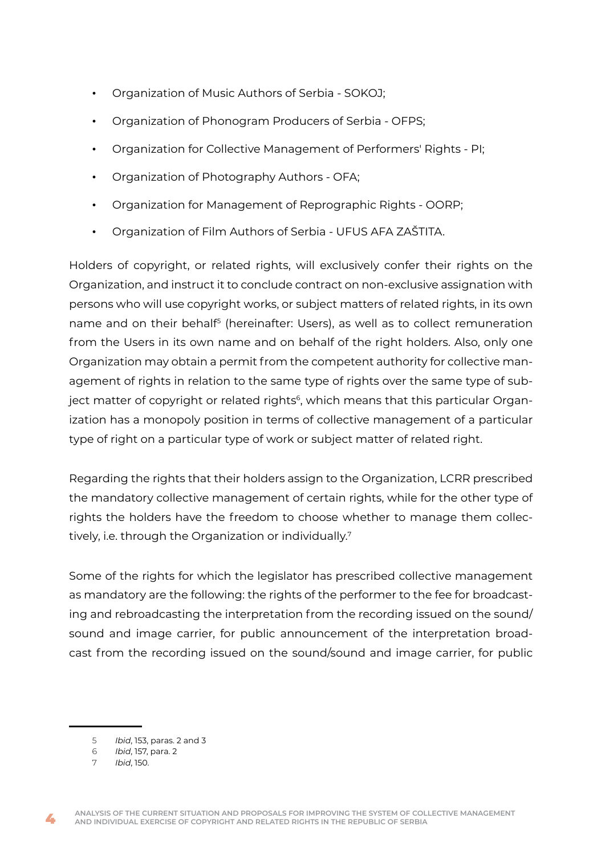- Organization of Music Authors of Serbia SOKOJ;
- Organization of Phonogram Producers of Serbia OFPS;
- Organization for Collective Management of Performers' Rights PI;
- Organization of Photography Authors OFA;
- Organization for Management of Reprographic Rights OORP;
- Organization of Film Authors of Serbia UFUS AFA ZAŠTITA.

Holders of copyright, or related rights, will exclusively confer their rights on the Organization, and instruct it to conclude contract on non-exclusive assignation with persons who will use copyright works, or subject matters of related rights, in its own name and on their behalf5 (hereinafter: Users), as well as to collect remuneration from the Users in its own name and on behalf of the right holders. Also, only one Organization may obtain a permit from the competent authority for collective management of rights in relation to the same type of rights over the same type of subject matter of copyright or related rights<sup>6</sup>, which means that this particular Organization has a monopoly position in terms of collective management of a particular type of right on a particular type of work or subject matter of related right.

Regarding the rights that their holders assign to the Organization, LCRR prescribed the mandatory collective management of certain rights, while for the other type of rights the holders have the freedom to choose whether to manage them collectively, i.e. through the Organization or individually.7

Some of the rights for which the legislator has prescribed collective management as mandatory are the following: the rights of the performer to the fee for broadcasting and rebroadcasting the interpretation from the recording issued on the sound/ sound and image carrier, for public announcement of the interpretation broadcast from the recording issued on the sound/sound and image carrier, for public

<sup>5</sup> *Ibid*, 153, paras. 2 and 3

<sup>6</sup> *Ibid*, 157, para. 2

<sup>7</sup> *Ibid*, 150.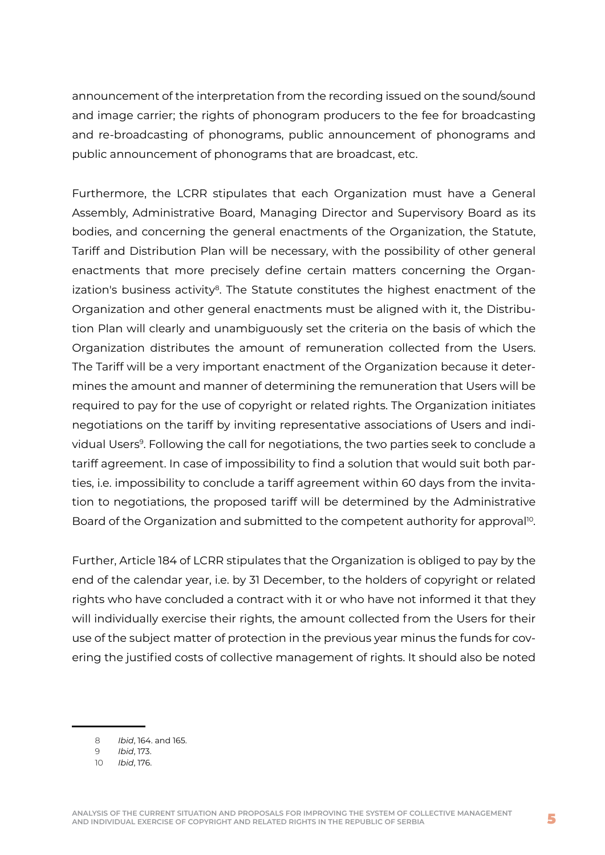announcement of the interpretation from the recording issued on the sound/sound and image carrier; the rights of phonogram producers to the fee for broadcasting and re-broadcasting of phonograms, public announcement of phonograms and public announcement of phonograms that are broadcast, etc.

Furthermore, the LCRR stipulates that each Organization must have a General Assembly, Administrative Board, Managing Director and Supervisory Board as its bodies, and concerning the general enactments of the Organization, the Statute, Tariff and Distribution Plan will be necessary, with the possibility of other general enactments that more precisely define certain matters concerning the Organ $ization's$  business activity $8$ . The Statute constitutes the highest enactment of the Organization and other general enactments must be aligned with it, the Distribution Plan will clearly and unambiguously set the criteria on the basis of which the Organization distributes the amount of remuneration collected from the Users. The Tariff will be a very important enactment of the Organization because it determines the amount and manner of determining the remuneration that Users will be required to pay for the use of copyright or related rights. The Organization initiates negotiations on the tariff by inviting representative associations of Users and individual Users9. Following the call for negotiations, the two parties seek to conclude a tariff agreement. In case of impossibility to find a solution that would suit both parties, i.e. impossibility to conclude a tariff agreement within 60 days from the invitation to negotiations, the proposed tariff will be determined by the Administrative Board of the Organization and submitted to the competent authority for approval<sup>10</sup>.

Further, Article 184 of LCRR stipulates that the Organization is obliged to pay by the end of the calendar year, i.e. by 31 December, to the holders of copyright or related rights who have concluded a contract with it or who have not informed it that they will individually exercise their rights, the amount collected from the Users for their use of the subject matter of protection in the previous year minus the funds for covering the justified costs of collective management of rights. It should also be noted

<sup>8</sup> *Ibid*, 164. and 165.

<sup>9</sup> *Ibid*, 173.

<sup>10</sup> *Ibid*, 176.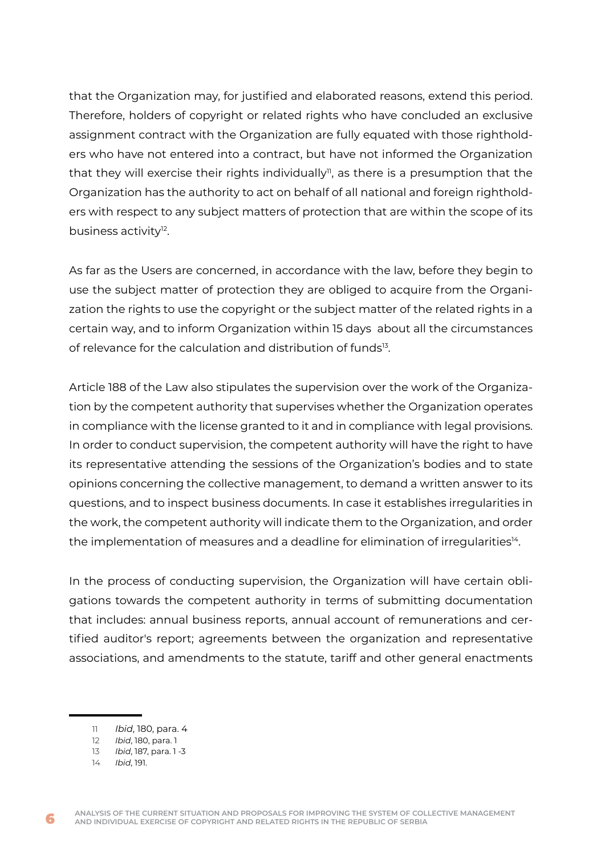that the Organization may, for justified and elaborated reasons, extend this period. Therefore, holders of copyright or related rights who have concluded an exclusive assignment contract with the Organization are fully equated with those rightholders who have not entered into a contract, but have not informed the Organization that they will exercise their rights individually<sup>n</sup>, as there is a presumption that the Organization has the authority to act on behalf of all national and foreign rightholders with respect to any subject matters of protection that are within the scope of its business activity<sup>12</sup>.

As far as the Users are concerned, in accordance with the law, before they begin to use the subject matter of protection they are obliged to acquire from the Organization the rights to use the copyright or the subject matter of the related rights in a certain way, and to inform Organization within 15 days about all the circumstances of relevance for the calculation and distribution of funds<sup>13</sup>.

Article 188 of the Law also stipulates the supervision over the work of the Organization by the competent authority that supervises whether the Organization operates in compliance with the license granted to it and in compliance with legal provisions. In order to conduct supervision, the competent authority will have the right to have its representative attending the sessions of the Organization's bodies and to state opinions concerning the collective management, to demand a written answer to its questions, and to inspect business documents. In case it establishes irregularities in the work, the competent authority will indicate them to the Organization, and order the implementation of measures and a deadline for elimination of irregularities<sup>14</sup>.

In the process of conducting supervision, the Organization will have certain obligations towards the competent authority in terms of submitting documentation that includes: annual business reports, annual account of remunerations and certified auditor's report; agreements between the organization and representative associations, and amendments to the statute, tariff and other general enactments

<sup>11</sup> *Ibid*, 180, para. 4

<sup>12</sup> *Ibid*, 180, para. 1

<sup>13</sup> *Ibid*, 187, para. 1 -3

<sup>14</sup> *Ibid*, 191.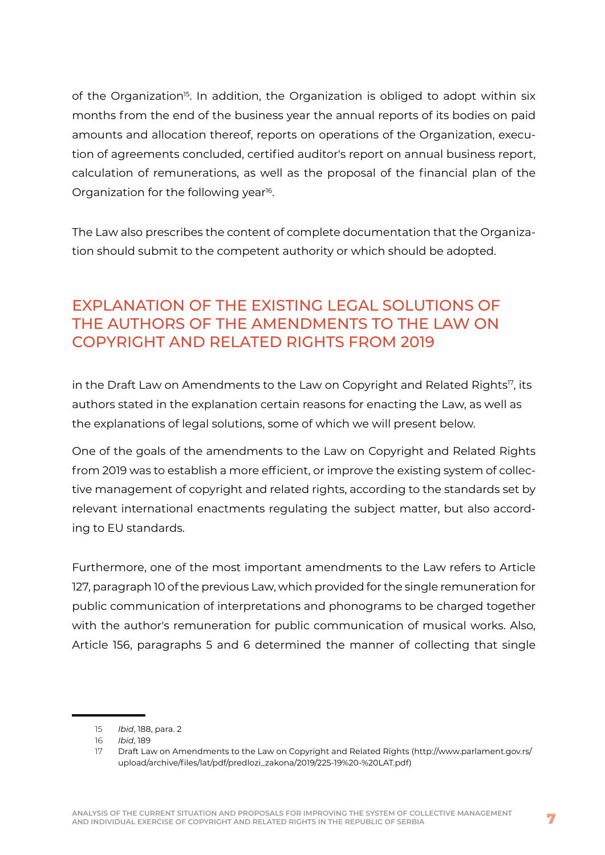<span id="page-7-0"></span>of the Organization<sup>15</sup>. In addition, the Organization is obliged to adopt within six months from the end of the business year the annual reports of its bodies on paid amounts and allocation thereof, reports on operations of the Organization, execution of agreements concluded, certified auditor's report on annual business report, calculation of remunerations, as well as the proposal of the financial plan of the Organization for the following year<sup>16</sup>.

The Law also prescribes the content of complete documentation that the Organization should submit to the competent authority or which should be adopted.

## EXPLANATION OF THE EXISTING LEGAL SOLUTIONS OF THE AUTHORS OF THE AMENDMENTS TO THE LAW ON COPYRIGHT AND RELATED RIGHTS FROM 2019

in the Draft Law on Amendments to the Law on Copyright and Related Rights<sup>17</sup>, its authors stated in the explanation certain reasons for enacting the Law, as well as the explanations of legal solutions, some of which we will present below.

One of the goals of the amendments to the Law on Copyright and Related Rights from 2019 was to establish a more efficient, or improve the existing system of collective management of copyright and related rights, according to the standards set by relevant international enactments regulating the subject matter, but also according to EU standards.

Furthermore, one of the most important amendments to the Law refers to Article 127, paragraph 10 of the previous Law, which provided for the single remuneration for public communication of interpretations and phonograms to be charged together with the author's remuneration for public communication of musical works. Also, Article 156, paragraphs 5 and 6 determined the manner of collecting that single

<sup>15</sup> *Ibid*, 188, para. 2

<sup>16</sup> *Ibid*, 189

<sup>17</sup> Draft Law on Amendments to the Law on Copyright and Related Rights ([http://www.parlament.gov.rs/](http://www.parlament.gov.rs/upload/archive/files/lat/pdf/predlozi_zakona/2019/225-19%20-%20LAT.pdf) [upload/archive/files/lat/pdf/predlozi\\_zakona/2019/225-19%20-%20LAT.pdf](http://www.parlament.gov.rs/upload/archive/files/lat/pdf/predlozi_zakona/2019/225-19%20-%20LAT.pdf))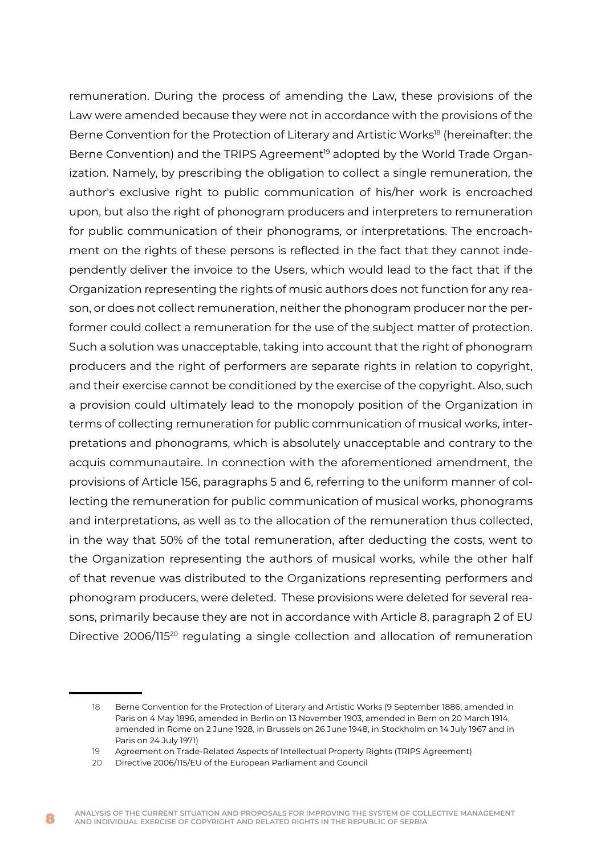remuneration. During the process of amending the Law, these provisions of the Law were amended because they were not in accordance with the provisions of the Berne Convention for the Protection of Literary and Artistic Works<sup>18</sup> (hereinafter: the Berne Convention) and the TRIPS Agreement<sup>19</sup> adopted by the World Trade Organization. Namely, by prescribing the obligation to collect a single remuneration, the author's exclusive right to public communication of his/her work is encroached upon, but also the right of phonogram producers and interpreters to remuneration for public communication of their phonograms, or interpretations. The encroachment on the rights of these persons is reflected in the fact that they cannot independently deliver the invoice to the Users, which would lead to the fact that if the Organization representing the rights of music authors does not function for any reason, or does not collect remuneration, neither the phonogram producer nor the performer could collect a remuneration for the use of the subject matter of protection. Such a solution was unacceptable, taking into account that the right of phonogram producers and the right of performers are separate rights in relation to copyright, and their exercise cannot be conditioned by the exercise of the copyright. Also, such a provision could ultimately lead to the monopoly position of the Organization in terms of collecting remuneration for public communication of musical works, interpretations and phonograms, which is absolutely unacceptable and contrary to the acquis communautaire. In connection with the aforementioned amendment, the provisions of Article 156, paragraphs 5 and 6, referring to the uniform manner of collecting the remuneration for public communication of musical works, phonograms and interpretations, as well as to the allocation of the remuneration thus collected, in the way that 50% of the total remuneration, after deducting the costs, went to the Organization representing the authors of musical works, while the other half of that revenue was distributed to the Organizations representing performers and phonogram producers, were deleted. These provisions were deleted for several reasons, primarily because they are not in accordance with Article 8, paragraph 2 of EU Directive 2006/115<sup>20</sup> regulating a single collection and allocation of remuneration

<sup>18</sup> Berne Convention for the Protection of Literary and Artistic Works (9 September 1886, amended in Paris on 4 May 1896, amended in Berlin on 13 November 1903, amended in Bern on 20 March 1914, amended in Rome on 2 June 1928, in Brussels on 26 June 1948, in Stockholm on 14 July 1967 and in Paris on 24 July 1971)

<sup>19</sup> Agreement on Trade-Related Aspects of Intellectual Property Rights (TRIPS Agreement)

<sup>20</sup> Directive 2006/115/EU of the European Parliament and Council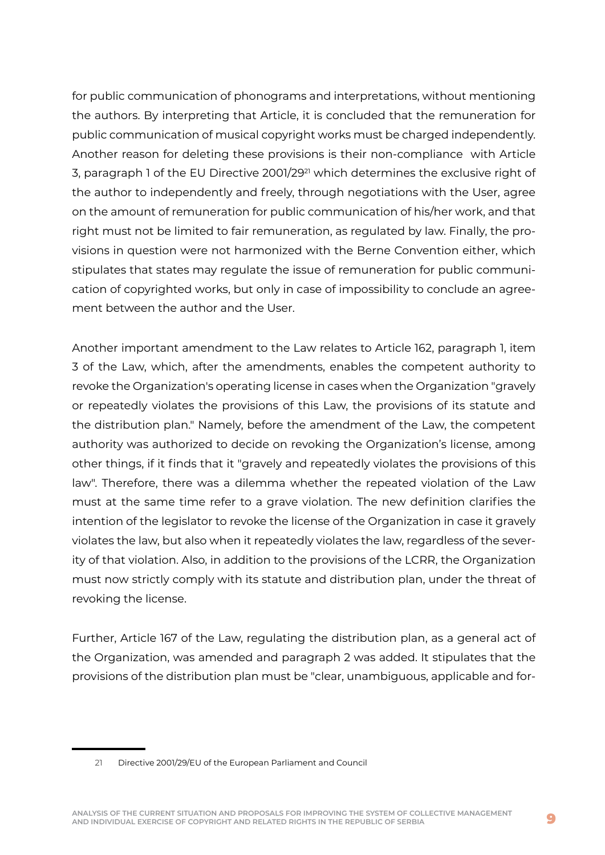for public communication of phonograms and interpretations, without mentioning the authors. By interpreting that Article, it is concluded that the remuneration for public communication of musical copyright works must be charged independently. Another reason for deleting these provisions is their non-compliance with Article 3, paragraph 1 of the EU Directive 2001/2921 which determines the exclusive right of the author to independently and freely, through negotiations with the User, agree on the amount of remuneration for public communication of his/her work, and that right must not be limited to fair remuneration, as regulated by law. Finally, the provisions in question were not harmonized with the Berne Convention either, which stipulates that states may regulate the issue of remuneration for public communication of copyrighted works, but only in case of impossibility to conclude an agreement between the author and the User.

Another important amendment to the Law relates to Article 162, paragraph 1, item 3 of the Law, which, after the amendments, enables the competent authority to revoke the Organization's operating license in cases when the Organization "gravely or repeatedly violates the provisions of this Law, the provisions of its statute and the distribution plan." Namely, before the amendment of the Law, the competent authority was authorized to decide on revoking the Organization's license, among other things, if it finds that it "gravely and repeatedly violates the provisions of this law". Therefore, there was a dilemma whether the repeated violation of the Law must at the same time refer to a grave violation. The new definition clarifies the intention of the legislator to revoke the license of the Organization in case it gravely violates the law, but also when it repeatedly violates the law, regardless of the severity of that violation. Also, in addition to the provisions of the LCRR, the Organization must now strictly comply with its statute and distribution plan, under the threat of revoking the license.

Further, Article 167 of the Law, regulating the distribution plan, as a general act of the Organization, was amended and paragraph 2 was added. It stipulates that the provisions of the distribution plan must be "clear, unambiguous, applicable and for-

<sup>21</sup> Directive 2001/29/EU of the European Parliament and Council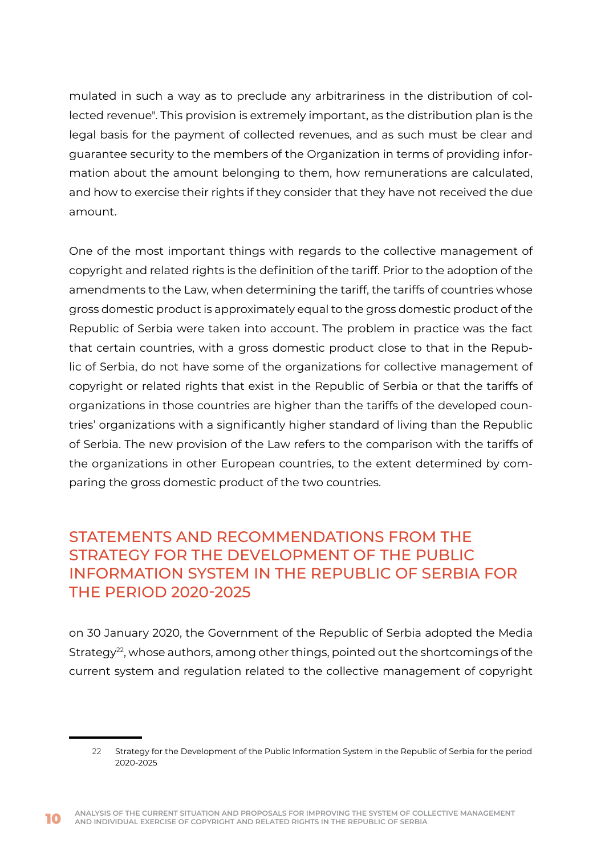<span id="page-10-0"></span>mulated in such a way as to preclude any arbitrariness in the distribution of collected revenue". This provision is extremely important, as the distribution plan is the legal basis for the payment of collected revenues, and as such must be clear and guarantee security to the members of the Organization in terms of providing information about the amount belonging to them, how remunerations are calculated, and how to exercise their rights if they consider that they have not received the due amount.

One of the most important things with regards to the collective management of copyright and related rights is the definition of the tariff. Prior to the adoption of the amendments to the Law, when determining the tariff, the tariffs of countries whose gross domestic product is approximately equal to the gross domestic product of the Republic of Serbia were taken into account. The problem in practice was the fact that certain countries, with a gross domestic product close to that in the Republic of Serbia, do not have some of the organizations for collective management of copyright or related rights that exist in the Republic of Serbia or that the tariffs of organizations in those countries are higher than the tariffs of the developed countries' organizations with a significantly higher standard of living than the Republic of Serbia. The new provision of the Law refers to the comparison with the tariffs of the organizations in other European countries, to the extent determined by comparing the gross domestic product of the two countries.

## STATEMENTS AND RECOMMENDATIONS FROM THE STRATEGY FOR THE DEVELOPMENT OF THE PUBLIC INFORMATION SYSTEM IN THE REPUBLIC OF SERBIA FOR THE PERIOD 2020-2025

on 30 January 2020, the Government of the Republic of Serbia adopted the Media Strategy<sup>22</sup>, whose authors, among other things, pointed out the shortcomings of the current system and regulation related to the collective management of copyright

<sup>22</sup> Strategy for the Development of the Public Information System in the Republic of Serbia for the period 2020-2025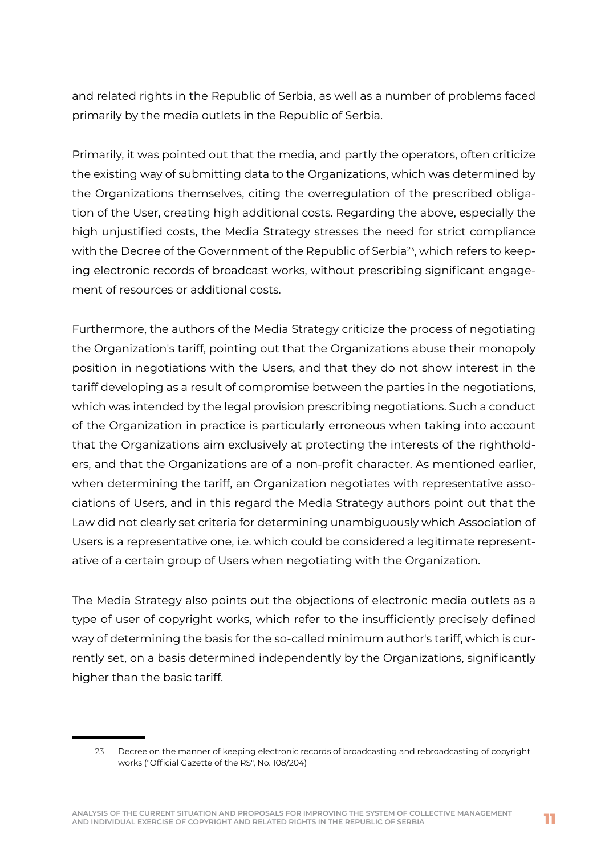and related rights in the Republic of Serbia, as well as a number of problems faced primarily by the media outlets in the Republic of Serbia.

Primarily, it was pointed out that the media, and partly the operators, often criticize the existing way of submitting data to the Organizations, which was determined by the Organizations themselves, citing the overregulation of the prescribed obligation of the User, creating high additional costs. Regarding the above, especially the high unjustified costs, the Media Strategy stresses the need for strict compliance with the Decree of the Government of the Republic of Serbia<sup>23</sup>, which refers to keeping electronic records of broadcast works, without prescribing significant engagement of resources or additional costs.

Furthermore, the authors of the Media Strategy criticize the process of negotiating the Organization's tariff, pointing out that the Organizations abuse their monopoly position in negotiations with the Users, and that they do not show interest in the tariff developing as a result of compromise between the parties in the negotiations, which was intended by the legal provision prescribing negotiations. Such a conduct of the Organization in practice is particularly erroneous when taking into account that the Organizations aim exclusively at protecting the interests of the rightholders, and that the Organizations are of a non-profit character. As mentioned earlier, when determining the tariff, an Organization negotiates with representative associations of Users, and in this regard the Media Strategy authors point out that the Law did not clearly set criteria for determining unambiguously which Association of Users is a representative one, i.e. which could be considered a legitimate representative of a certain group of Users when negotiating with the Organization.

The Media Strategy also points out the objections of electronic media outlets as a type of user of copyright works, which refer to the insufficiently precisely defined way of determining the basis for the so-called minimum author's tariff, which is currently set, on a basis determined independently by the Organizations, significantly higher than the basic tariff.

<sup>23</sup> Decree on the manner of keeping electronic records of broadcasting and rebroadcasting of copyright works ("Official Gazette of the RS", No. 108/204)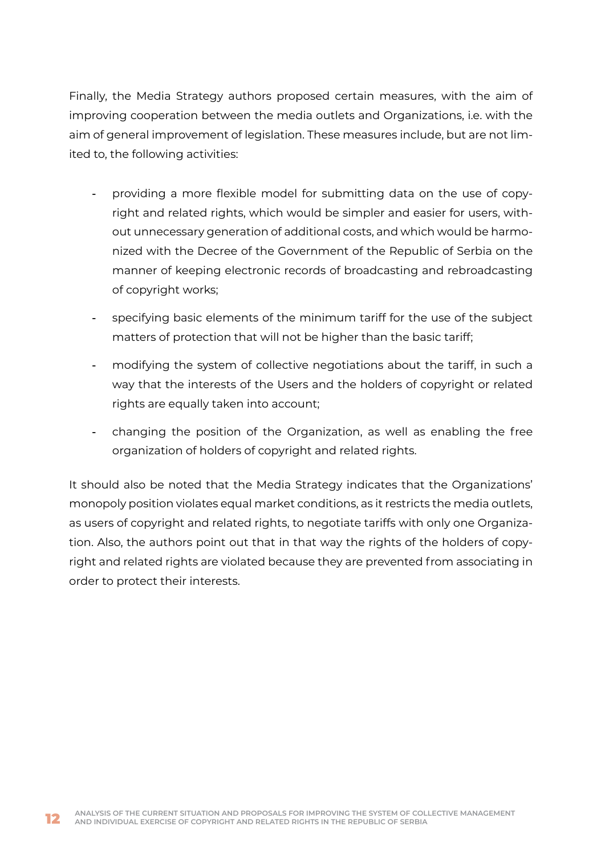Finally, the Media Strategy authors proposed certain measures, with the aim of improving cooperation between the media outlets and Organizations, i.e. with the aim of general improvement of legislation. These measures include, but are not limited to, the following activities:

- providing a more flexible model for submitting data on the use of copyright and related rights, which would be simpler and easier for users, without unnecessary generation of additional costs, and which would be harmonized with the Decree of the Government of the Republic of Serbia on the manner of keeping electronic records of broadcasting and rebroadcasting of copyright works;
- specifying basic elements of the minimum tariff for the use of the subject matters of protection that will not be higher than the basic tariff;
- modifying the system of collective negotiations about the tariff, in such a way that the interests of the Users and the holders of copyright or related rights are equally taken into account;
- changing the position of the Organization, as well as enabling the free organization of holders of copyright and related rights.

It should also be noted that the Media Strategy indicates that the Organizations' monopoly position violates equal market conditions, as it restricts the media outlets, as users of copyright and related rights, to negotiate tariffs with only one Organization. Also, the authors point out that in that way the rights of the holders of copyright and related rights are violated because they are prevented from associating in order to protect their interests.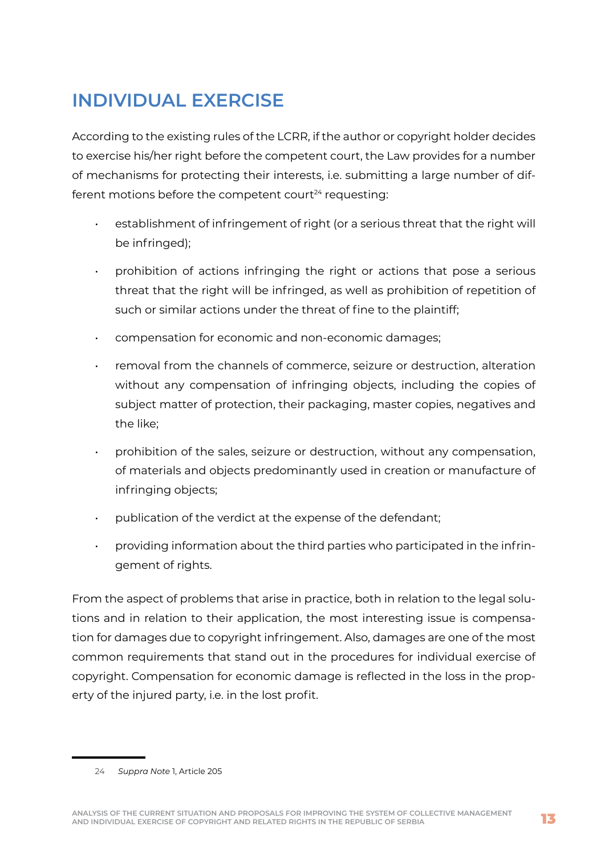# <span id="page-13-0"></span>**INDIVIDUAL EXERCISE**

According to the existing rules of the LCRR, if the author or copyright holder decides to exercise his/her right before the competent court, the Law provides for a number of mechanisms for protecting their interests, i.e. submitting a large number of different motions before the competent court<sup>24</sup> requesting:

- establishment of infringement of right (or a serious threat that the right will be infringed);
- prohibition of actions infringing the right or actions that pose a serious threat that the right will be infringed, as well as prohibition of repetition of such or similar actions under the threat of fine to the plaintiff;
- compensation for economic and non-economic damages;
- removal from the channels of commerce, seizure or destruction, alteration without any compensation of infringing objects, including the copies of subject matter of protection, their packaging, master copies, negatives and the like;
- prohibition of the sales, seizure or destruction, without any compensation, of materials and objects predominantly used in creation or manufacture of infringing objects;
- publication of the verdict at the expense of the defendant;
- providing information about the third parties who participated in the infringement of rights.

From the aspect of problems that arise in practice, both in relation to the legal solutions and in relation to their application, the most interesting issue is compensation for damages due to copyright infringement. Also, damages are one of the most common requirements that stand out in the procedures for individual exercise of copyright. Compensation for economic damage is reflected in the loss in the property of the injured party, i.e. in the lost profit.

<sup>24</sup> *Suppra Note* 1, Article 205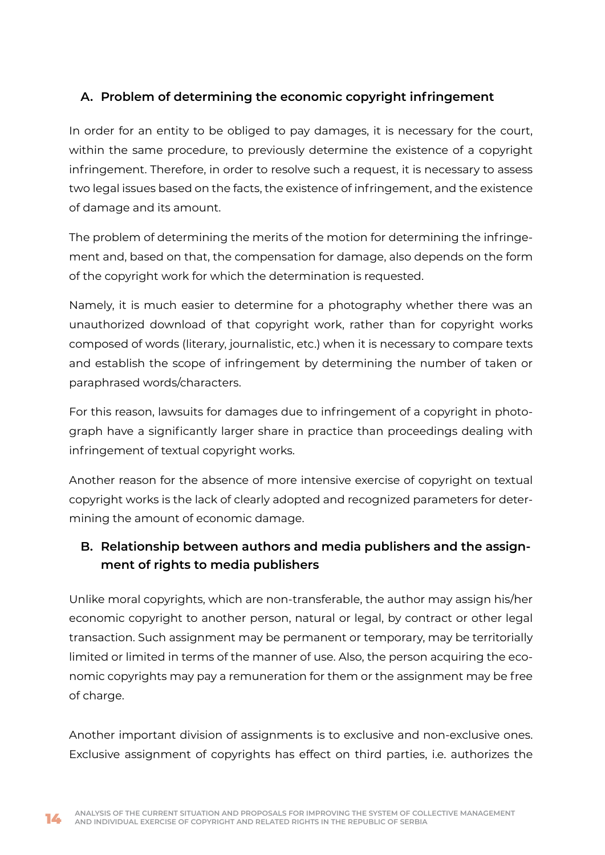### **A. Problem of determining the economic copyright infringement**

In order for an entity to be obliged to pay damages, it is necessary for the court, within the same procedure, to previously determine the existence of a copyright infringement. Therefore, in order to resolve such a request, it is necessary to assess two legal issues based on the facts, the existence of infringement, and the existence of damage and its amount.

The problem of determining the merits of the motion for determining the infringement and, based on that, the compensation for damage, also depends on the form of the copyright work for which the determination is requested.

Namely, it is much easier to determine for a photography whether there was an unauthorized download of that copyright work, rather than for copyright works composed of words (literary, journalistic, etc.) when it is necessary to compare texts and establish the scope of infringement by determining the number of taken or paraphrased words/characters.

For this reason, lawsuits for damages due to infringement of a copyright in photograph have a significantly larger share in practice than proceedings dealing with infringement of textual copyright works.

Another reason for the absence of more intensive exercise of copyright on textual copyright works is the lack of clearly adopted and recognized parameters for determining the amount of economic damage.

## **B. Relationship between authors and media publishers and the assignment of rights to media publishers**

Unlike moral copyrights, which are non-transferable, the author may assign his/her economic copyright to another person, natural or legal, by contract or other legal transaction. Such assignment may be permanent or temporary, may be territorially limited or limited in terms of the manner of use. Also, the person acquiring the economic copyrights may pay a remuneration for them or the assignment may be free of charge.

Another important division of assignments is to exclusive and non-exclusive ones. Exclusive assignment of copyrights has effect on third parties, i.e. authorizes the

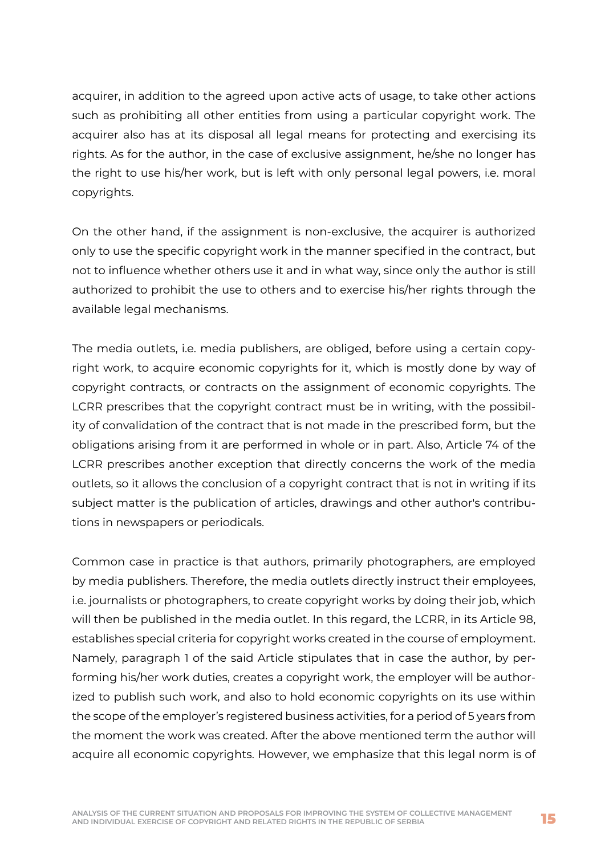acquirer, in addition to the agreed upon active acts of usage, to take other actions such as prohibiting all other entities from using a particular copyright work. The acquirer also has at its disposal all legal means for protecting and exercising its rights. As for the author, in the case of exclusive assignment, he/she no longer has the right to use his/her work, but is left with only personal legal powers, i.e. moral copyrights.

On the other hand, if the assignment is non-exclusive, the acquirer is authorized only to use the specific copyright work in the manner specified in the contract, but not to influence whether others use it and in what way, since only the author is still authorized to prohibit the use to others and to exercise his/her rights through the available legal mechanisms.

The media outlets, i.e. media publishers, are obliged, before using a certain copyright work, to acquire economic copyrights for it, which is mostly done by way of copyright contracts, or contracts on the assignment of economic copyrights. The LCRR prescribes that the copyright contract must be in writing, with the possibility of convalidation of the contract that is not made in the prescribed form, but the obligations arising from it are performed in whole or in part. Also, Article 74 of the LCRR prescribes another exception that directly concerns the work of the media outlets, so it allows the conclusion of a copyright contract that is not in writing if its subject matter is the publication of articles, drawings and other author's contributions in newspapers or periodicals.

Common case in practice is that authors, primarily photographers, are employed by media publishers. Therefore, the media outlets directly instruct their employees, i.e. journalists or photographers, to create copyright works by doing their job, which will then be published in the media outlet. In this regard, the LCRR, in its Article 98, establishes special criteria for copyright works created in the course of employment. Namely, paragraph 1 of the said Article stipulates that in case the author, by performing his/her work duties, creates a copyright work, the employer will be authorized to publish such work, and also to hold economic copyrights on its use within the scope of the employer's registered business activities, for a period of 5 years from the moment the work was created. After the above mentioned term the author will acquire all economic copyrights. However, we emphasize that this legal norm is of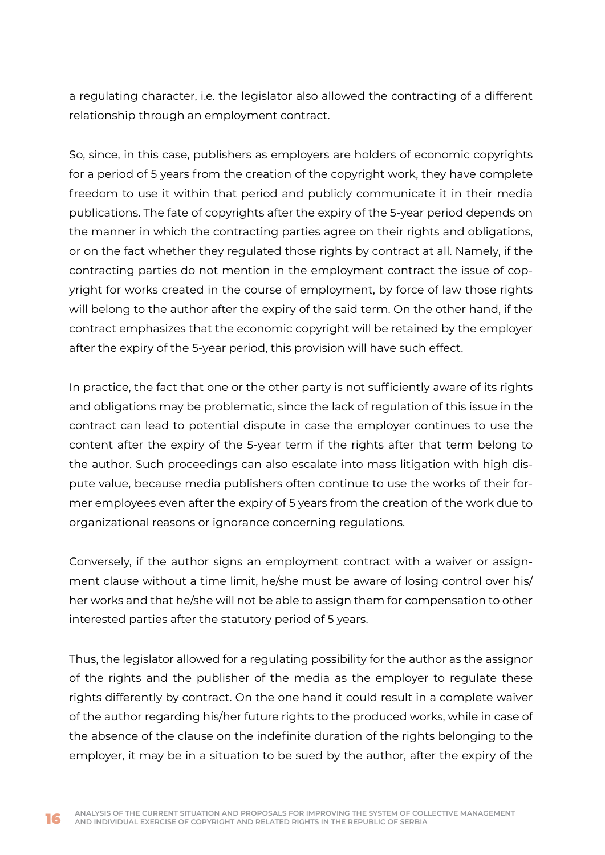a regulating character, i.e. the legislator also allowed the contracting of a different relationship through an employment contract.

So, since, in this case, publishers as employers are holders of economic copyrights for a period of 5 years from the creation of the copyright work, they have complete freedom to use it within that period and publicly communicate it in their media publications. The fate of copyrights after the expiry of the 5-year period depends on the manner in which the contracting parties agree on their rights and obligations, or on the fact whether they regulated those rights by contract at all. Namely, if the contracting parties do not mention in the employment contract the issue of copyright for works created in the course of employment, by force of law those rights will belong to the author after the expiry of the said term. On the other hand, if the contract emphasizes that the economic copyright will be retained by the employer after the expiry of the 5-year period, this provision will have such effect.

In practice, the fact that one or the other party is not sufficiently aware of its rights and obligations may be problematic, since the lack of regulation of this issue in the contract can lead to potential dispute in case the employer continues to use the content after the expiry of the 5-year term if the rights after that term belong to the author. Such proceedings can also escalate into mass litigation with high dispute value, because media publishers often continue to use the works of their former employees even after the expiry of 5 years from the creation of the work due to organizational reasons or ignorance concerning regulations.

Conversely, if the author signs an employment contract with a waiver or assignment clause without a time limit, he/she must be aware of losing control over his/ her works and that he/she will not be able to assign them for compensation to other interested parties after the statutory period of 5 years.

Thus, the legislator allowed for a regulating possibility for the author as the assignor of the rights and the publisher of the media as the employer to regulate these rights differently by contract. On the one hand it could result in a complete waiver of the author regarding his/her future rights to the produced works, while in case of the absence of the clause on the indefinite duration of the rights belonging to the employer, it may be in a situation to be sued by the author, after the expiry of the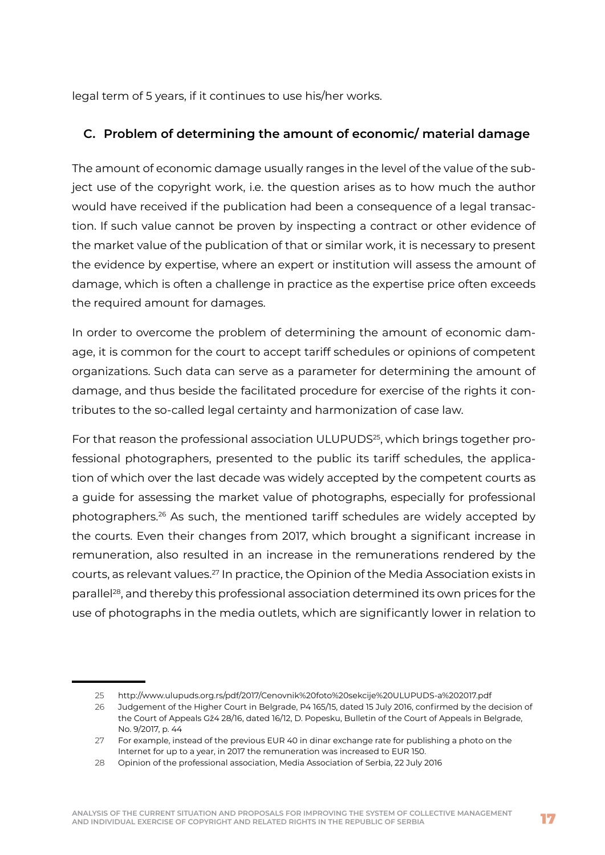legal term of 5 years, if it continues to use his/her works.

#### **C. Problem of determining the amount of economic/ material damage**

The amount of economic damage usually ranges in the level of the value of the subject use of the copyright work, i.e. the question arises as to how much the author would have received if the publication had been a consequence of a legal transaction. If such value cannot be proven by inspecting a contract or other evidence of the market value of the publication of that or similar work, it is necessary to present the evidence by expertise, where an expert or institution will assess the amount of damage, which is often a challenge in practice as the expertise price often exceeds the required amount for damages.

In order to overcome the problem of determining the amount of economic damage, it is common for the court to accept tariff schedules or opinions of competent organizations. Such data can serve as a parameter for determining the amount of damage, and thus beside the facilitated procedure for exercise of the rights it contributes to the so-called legal certainty and harmonization of case law.

For that reason the professional association ULUPUDS<sup>25</sup>, which brings together professional photographers, presented to the public its tariff schedules, the application of which over the last decade was widely accepted by the competent courts as a guide for assessing the market value of photographs, especially for professional photographers.26 As such, the mentioned tariff schedules are widely accepted by the courts. Even their changes from 2017, which brought a significant increase in remuneration, also resulted in an increase in the remunerations rendered by the courts, as relevant values.27 In practice, the Opinion of the Media Association exists in parallel28, and thereby this professional association determined its own prices for the use of photographs in the media outlets, which are significantly lower in relation to

<sup>25</sup> http://www.ulupuds.org.rs/pdf/2017/Cenovnik%20foto%20sekcije%20ULUPUDS-a%202017.pdf

<sup>26</sup> Judgement of the Higher Court in Belgrade, P4 165/15, dated 15 July 2016, confirmed by the decision of the Court of Appeals Gž4 28/16, dated 16/12, D. Popesku, Bulletin of the Court of Appeals in Belgrade, No. 9/2017, p. 44

<sup>27</sup> For example, instead of the previous EUR 40 in dinar exchange rate for publishing a photo on the Internet for up to a year, in 2017 the remuneration was increased to EUR 150.

<sup>28</sup> Opinion of the professional association, Media Association of Serbia, 22 July 2016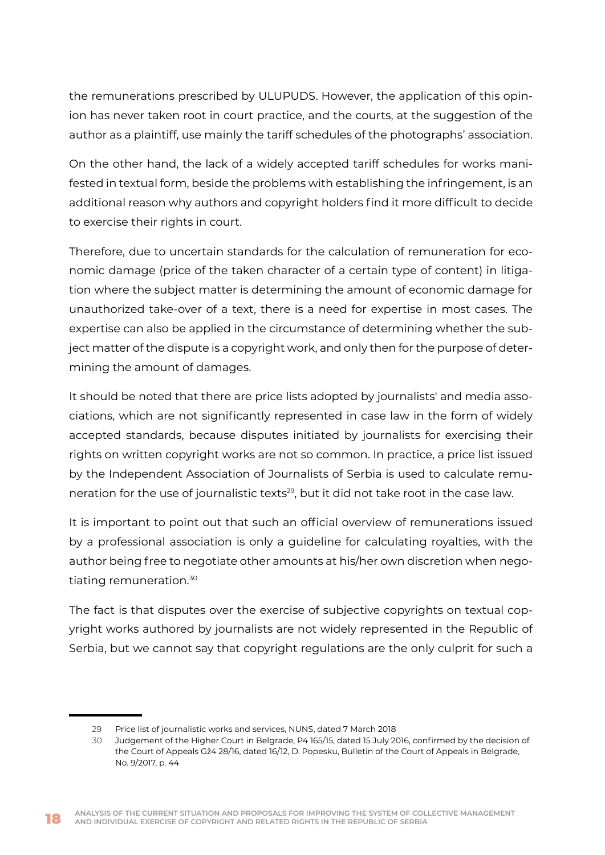the remunerations prescribed by ULUPUDS. However, the application of this opinion has never taken root in court practice, and the courts, at the suggestion of the author as a plaintiff, use mainly the tariff schedules of the photographs' association.

On the other hand, the lack of a widely accepted tariff schedules for works manifested in textual form, beside the problems with establishing the infringement, is an additional reason why authors and copyright holders find it more difficult to decide to exercise their rights in court.

Therefore, due to uncertain standards for the calculation of remuneration for economic damage (price of the taken character of a certain type of content) in litigation where the subject matter is determining the amount of economic damage for unauthorized take-over of a text, there is a need for expertise in most cases. The expertise can also be applied in the circumstance of determining whether the subject matter of the dispute is a copyright work, and only then for the purpose of determining the amount of damages.

It should be noted that there are price lists adopted by journalists' and media associations, which are not significantly represented in case law in the form of widely accepted standards, because disputes initiated by journalists for exercising their rights on written copyright works are not so common. In practice, a price list issued by the Independent Association of Journalists of Serbia is used to calculate remuneration for the use of journalistic texts<sup>29</sup>, but it did not take root in the case law.

It is important to point out that such an official overview of remunerations issued by a professional association is only a guideline for calculating royalties, with the author being free to negotiate other amounts at his/her own discretion when negotiating remuneration.30

The fact is that disputes over the exercise of subjective copyrights on textual copyright works authored by journalists are not widely represented in the Republic of Serbia, but we cannot say that copyright regulations are the only culprit for such a

<sup>29</sup> Price list of journalistic works and services, NUNS, dated 7 March 2018

<sup>30</sup> Judgement of the Higher Court in Belgrade, P4 165/15, dated 15 July 2016, confirmed by the decision of the Court of Appeals Gž4 28/16, dated 16/12, D. Popesku, Bulletin of the Court of Appeals in Belgrade, No. 9/2017, p. 44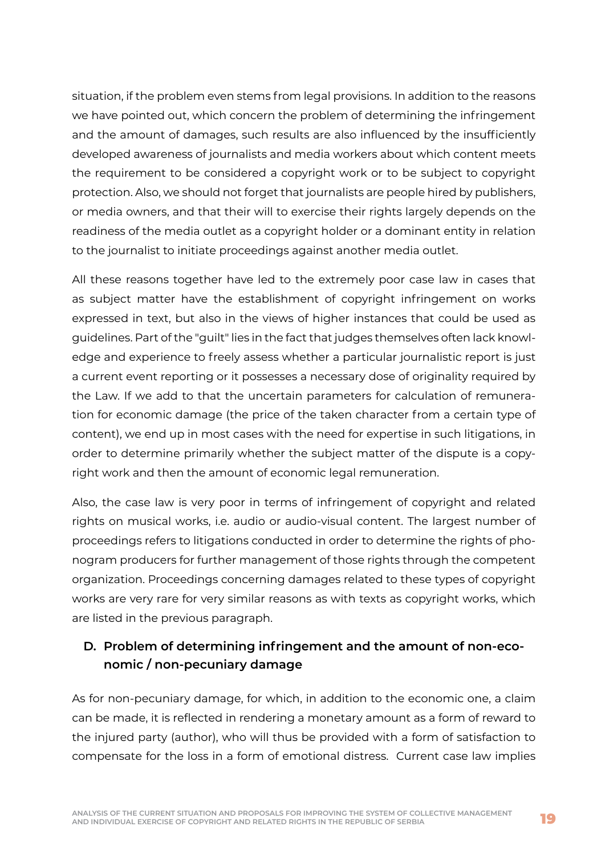situation, if the problem even stems from legal provisions. In addition to the reasons we have pointed out, which concern the problem of determining the infringement and the amount of damages, such results are also influenced by the insufficiently developed awareness of journalists and media workers about which content meets the requirement to be considered a copyright work or to be subject to copyright protection. Also, we should not forget that journalists are people hired by publishers, or media owners, and that their will to exercise their rights largely depends on the readiness of the media outlet as a copyright holder or a dominant entity in relation to the journalist to initiate proceedings against another media outlet.

All these reasons together have led to the extremely poor case law in cases that as subject matter have the establishment of copyright infringement on works expressed in text, but also in the views of higher instances that could be used as guidelines. Part of the "guilt" lies in the fact that judges themselves often lack knowledge and experience to freely assess whether a particular journalistic report is just a current event reporting or it possesses a necessary dose of originality required by the Law. If we add to that the uncertain parameters for calculation of remuneration for economic damage (the price of the taken character from a certain type of content), we end up in most cases with the need for expertise in such litigations, in order to determine primarily whether the subject matter of the dispute is a copyright work and then the amount of economic legal remuneration.

Also, the case law is very poor in terms of infringement of copyright and related rights on musical works, i.e. audio or audio-visual content. The largest number of proceedings refers to litigations conducted in order to determine the rights of phonogram producers for further management of those rights through the competent organization. Proceedings concerning damages related to these types of copyright works are very rare for very similar reasons as with texts as copyright works, which are listed in the previous paragraph.

## **D. Problem of determining infringement and the amount of non-economic / non-pecuniary damage**

As for non-pecuniary damage, for which, in addition to the economic one, a claim can be made, it is reflected in rendering a monetary amount as a form of reward to the injured party (author), who will thus be provided with a form of satisfaction to compensate for the loss in a form of emotional distress. Current case law implies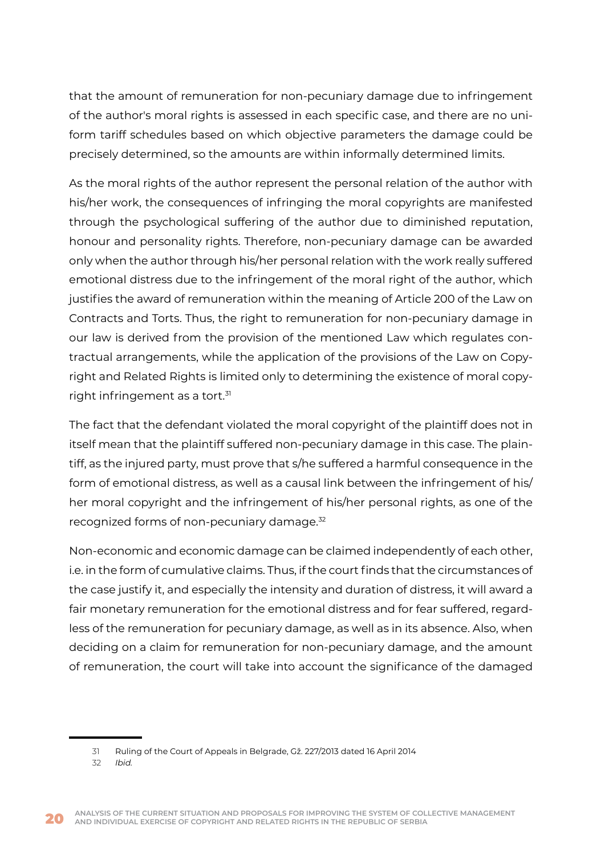that the amount of remuneration for non-pecuniary damage due to infringement of the author's moral rights is assessed in each specific case, and there are no uniform tariff schedules based on which objective parameters the damage could be precisely determined, so the amounts are within informally determined limits.

As the moral rights of the author represent the personal relation of the author with his/her work, the consequences of infringing the moral copyrights are manifested through the psychological suffering of the author due to diminished reputation, honour and personality rights. Therefore, non-pecuniary damage can be awarded only when the author through his/her personal relation with the work really suffered emotional distress due to the infringement of the moral right of the author, which justifies the award of remuneration within the meaning of Article 200 of the Law on Contracts and Torts. Thus, the right to remuneration for non-pecuniary damage in our law is derived from the provision of the mentioned Law which regulates contractual arrangements, while the application of the provisions of the Law on Copyright and Related Rights is limited only to determining the existence of moral copyright infringement as a tort.<sup>31</sup>

The fact that the defendant violated the moral copyright of the plaintiff does not in itself mean that the plaintiff suffered non-pecuniary damage in this case. The plaintiff, as the injured party, must prove that s/he suffered a harmful consequence in the form of emotional distress, as well as a causal link between the infringement of his/ her moral copyright and the infringement of his/her personal rights, as one of the recognized forms of non-pecuniary damage.32

Non-economic and economic damage can be claimed independently of each other, i.e. in the form of cumulative claims. Thus, if the court finds that the circumstances of the case justify it, and especially the intensity and duration of distress, it will award a fair monetary remuneration for the emotional distress and for fear suffered, regardless of the remuneration for pecuniary damage, as well as in its absence. Also, when deciding on a claim for remuneration for non-pecuniary damage, and the amount of remuneration, the court will take into account the significance of the damaged

<sup>31</sup> Ruling of the Court of Appeals in Belgrade, Gž. 227/2013 dated 16 April 2014

<sup>32</sup> *Ibid.*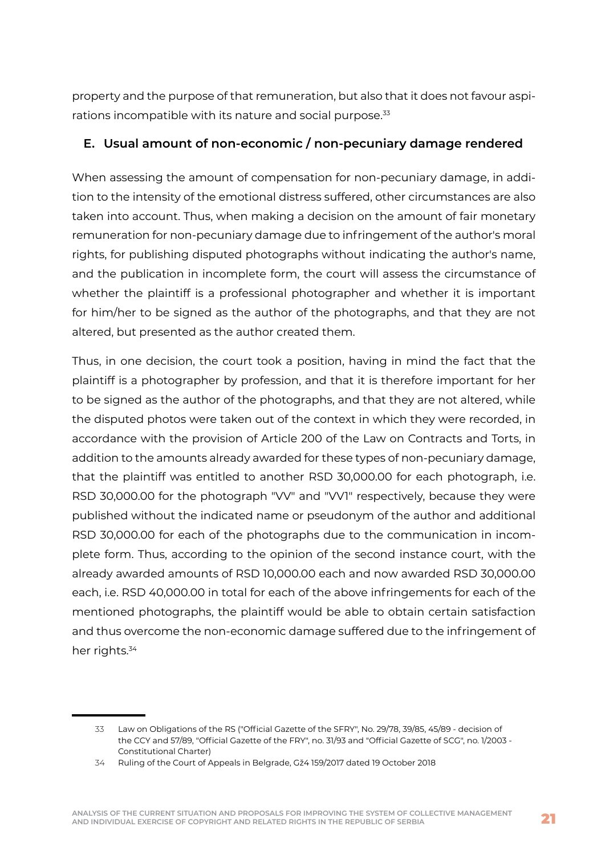property and the purpose of that remuneration, but also that it does not favour aspirations incompatible with its nature and social purpose.<sup>33</sup>

#### **E. Usual amount of non-economic / non-pecuniary damage rendered**

When assessing the amount of compensation for non-pecuniary damage, in addition to the intensity of the emotional distress suffered, other circumstances are also taken into account. Thus, when making a decision on the amount of fair monetary remuneration for non-pecuniary damage due to infringement of the author's moral rights, for publishing disputed photographs without indicating the author's name, and the publication in incomplete form, the court will assess the circumstance of whether the plaintiff is a professional photographer and whether it is important for him/her to be signed as the author of the photographs, and that they are not altered, but presented as the author created them.

Thus, in one decision, the court took a position, having in mind the fact that the plaintiff is a photographer by profession, and that it is therefore important for her to be signed as the author of the photographs, and that they are not altered, while the disputed photos were taken out of the context in which they were recorded, in accordance with the provision of Article 200 of the Law on Contracts and Torts, in addition to the amounts already awarded for these types of non-pecuniary damage, that the plaintiff was entitled to another RSD 30,000.00 for each photograph, i.e. RSD 30,000.00 for the photograph "VV" and "VV1" respectively, because they were published without the indicated name or pseudonym of the author and additional RSD 30,000.00 for each of the photographs due to the communication in incomplete form. Thus, according to the opinion of the second instance court, with the already awarded amounts of RSD 10,000.00 each and now awarded RSD 30,000.00 each, i.e. RSD 40,000.00 in total for each of the above infringements for each of the mentioned photographs, the plaintiff would be able to obtain certain satisfaction and thus overcome the non-economic damage suffered due to the infringement of her rights.<sup>34</sup>

<sup>33</sup> Law on Obligations of the RS ("Official Gazette of the SFRY", No. 29/78, 39/85, 45/89 - decision of the CCY and 57/89, "Official Gazette of the FRY", no. 31/93 and "Official Gazette of SCG", no. 1/2003 - Constitutional Charter)

<sup>34</sup> Ruling of the Court of Appeals in Belgrade, Gž4 159/2017 dated 19 October 2018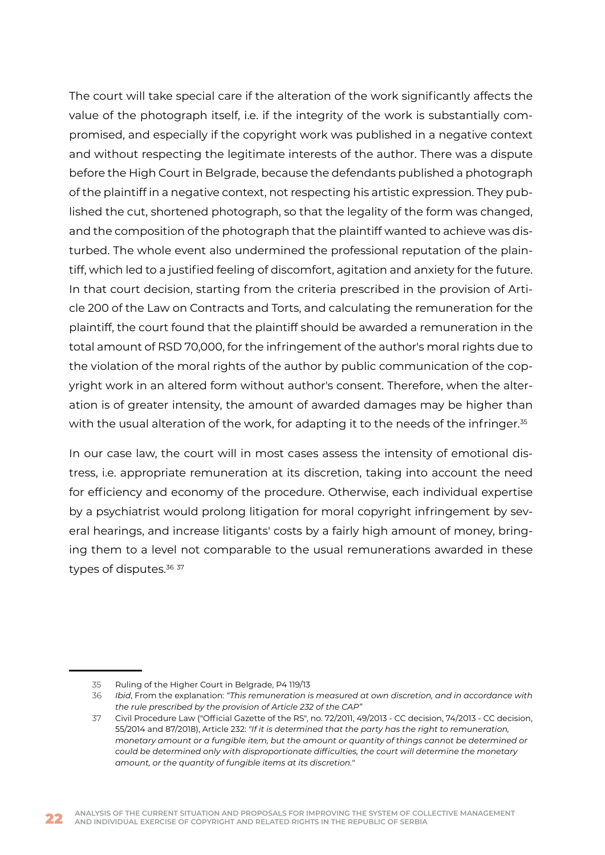The court will take special care if the alteration of the work significantly affects the value of the photograph itself, i.e. if the integrity of the work is substantially compromised, and especially if the copyright work was published in a negative context and without respecting the legitimate interests of the author. There was a dispute before the High Court in Belgrade, because the defendants published a photograph of the plaintiff in a negative context, not respecting his artistic expression. They published the cut, shortened photograph, so that the legality of the form was changed, and the composition of the photograph that the plaintiff wanted to achieve was disturbed. The whole event also undermined the professional reputation of the plaintiff, which led to a justified feeling of discomfort, agitation and anxiety for the future. In that court decision, starting from the criteria prescribed in the provision of Article 200 of the Law on Contracts and Torts, and calculating the remuneration for the plaintiff, the court found that the plaintiff should be awarded a remuneration in the total amount of RSD 70,000, for the infringement of the author's moral rights due to the violation of the moral rights of the author by public communication of the copyright work in an altered form without author's consent. Therefore, when the alteration is of greater intensity, the amount of awarded damages may be higher than with the usual alteration of the work, for adapting it to the needs of the infringer.<sup>35</sup>

In our case law, the court will in most cases assess the intensity of emotional distress, i.e. appropriate remuneration at its discretion, taking into account the need for efficiency and economy of the procedure. Otherwise, each individual expertise by a psychiatrist would prolong litigation for moral copyright infringement by several hearings, and increase litigants' costs by a fairly high amount of money, bringing them to a level not comparable to the usual remunerations awarded in these types of disputes.<sup>36 37</sup>

<sup>35</sup> Ruling of the Higher Court in Belgrade, P4 119/13

<sup>36</sup> *Ibid*, From the explanation: *"This remuneration is measured at own discretion, and in accordance with the rule prescribed by the provision of Article 232 of the CAP"*

<sup>37</sup> Civil Procedure Law ("Official Gazette of the RS", no. 72/2011, 49/2013 - CC decision, 74/2013 - CC decision, 55/2014 and 87/2018), Article 232: *"If it is determined that the party has the right to remuneration, monetary amount or a fungible item, but the amount or quantity of things cannot be determined or could be determined only with disproportionate difficulties, the court will determine the monetary amount, or the quantity of fungible items at its discretion."*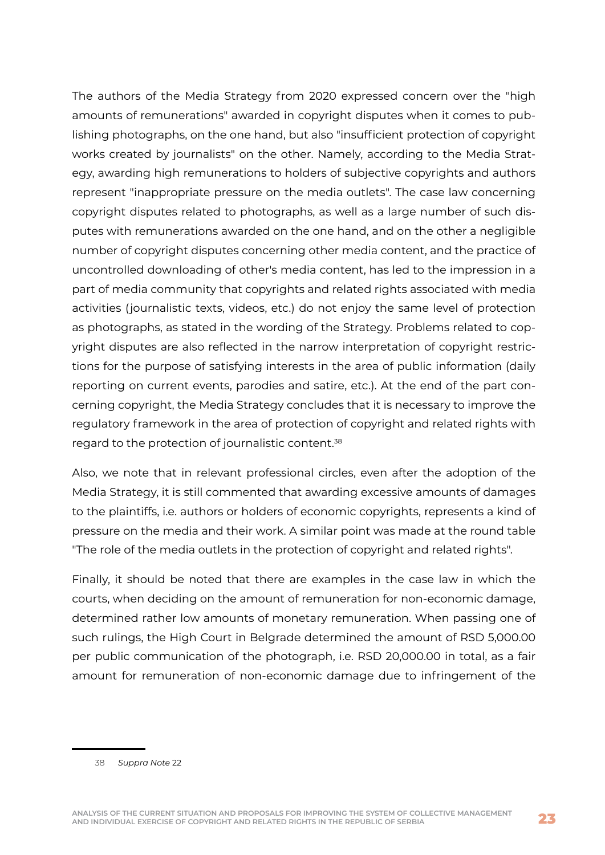The authors of the Media Strategy from 2020 expressed concern over the "high amounts of remunerations" awarded in copyright disputes when it comes to publishing photographs, on the one hand, but also "insufficient protection of copyright works created by journalists" on the other. Namely, according to the Media Strategy, awarding high remunerations to holders of subjective copyrights and authors represent "inappropriate pressure on the media outlets". The case law concerning copyright disputes related to photographs, as well as a large number of such disputes with remunerations awarded on the one hand, and on the other a negligible number of copyright disputes concerning other media content, and the practice of uncontrolled downloading of other's media content, has led to the impression in a part of media community that copyrights and related rights associated with media activities (journalistic texts, videos, etc.) do not enjoy the same level of protection as photographs, as stated in the wording of the Strategy. Problems related to copyright disputes are also reflected in the narrow interpretation of copyright restrictions for the purpose of satisfying interests in the area of public information (daily reporting on current events, parodies and satire, etc.). At the end of the part concerning copyright, the Media Strategy concludes that it is necessary to improve the regulatory framework in the area of protection of copyright and related rights with regard to the protection of journalistic content.38

Also, we note that in relevant professional circles, even after the adoption of the Media Strategy, it is still commented that awarding excessive amounts of damages to the plaintiffs, i.e. authors or holders of economic copyrights, represents a kind of pressure on the media and their work. A similar point was made at the round table "The role of the media outlets in the protection of copyright and related rights".

Finally, it should be noted that there are examples in the case law in which the courts, when deciding on the amount of remuneration for non-economic damage, determined rather low amounts of monetary remuneration. When passing one of such rulings, the High Court in Belgrade determined the amount of RSD 5,000.00 per public communication of the photograph, i.e. RSD 20,000.00 in total, as a fair amount for remuneration of non-economic damage due to infringement of the

38 *Suppra Note* 22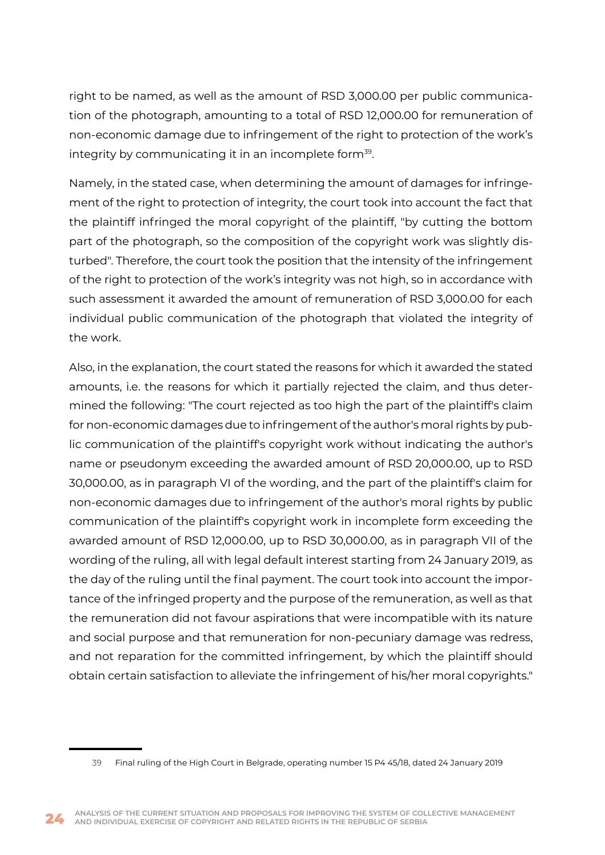right to be named, as well as the amount of RSD 3,000.00 per public communication of the photograph, amounting to a total of RSD 12,000.00 for remuneration of non-economic damage due to infringement of the right to protection of the work's integrity by communicating it in an incomplete form<sup>39</sup>.

Namely, in the stated case, when determining the amount of damages for infringement of the right to protection of integrity, the court took into account the fact that the plaintiff infringed the moral copyright of the plaintiff, "by cutting the bottom part of the photograph, so the composition of the copyright work was slightly disturbed". Therefore, the court took the position that the intensity of the infringement of the right to protection of the work's integrity was not high, so in accordance with such assessment it awarded the amount of remuneration of RSD 3,000.00 for each individual public communication of the photograph that violated the integrity of the work.

Also, in the explanation, the court stated the reasons for which it awarded the stated amounts, i.e. the reasons for which it partially rejected the claim, and thus determined the following: "The court rejected as too high the part of the plaintiff's claim for non-economic damages due to infringement of the author's moral rights by public communication of the plaintiff's copyright work without indicating the author's name or pseudonym exceeding the awarded amount of RSD 20,000.00, up to RSD 30,000.00, as in paragraph VI of the wording, and the part of the plaintiff's claim for non-economic damages due to infringement of the author's moral rights by public communication of the plaintiff's copyright work in incomplete form exceeding the awarded amount of RSD 12,000.00, up to RSD 30,000.00, as in paragraph VII of the wording of the ruling, all with legal default interest starting from 24 January 2019, as the day of the ruling until the final payment. The court took into account the importance of the infringed property and the purpose of the remuneration, as well as that the remuneration did not favour aspirations that were incompatible with its nature and social purpose and that remuneration for non-pecuniary damage was redress, and not reparation for the committed infringement, by which the plaintiff should obtain certain satisfaction to alleviate the infringement of his/her moral copyrights."

<sup>39</sup> Final ruling of the High Court in Belgrade, operating number 15 P4 45/18, dated 24 January 2019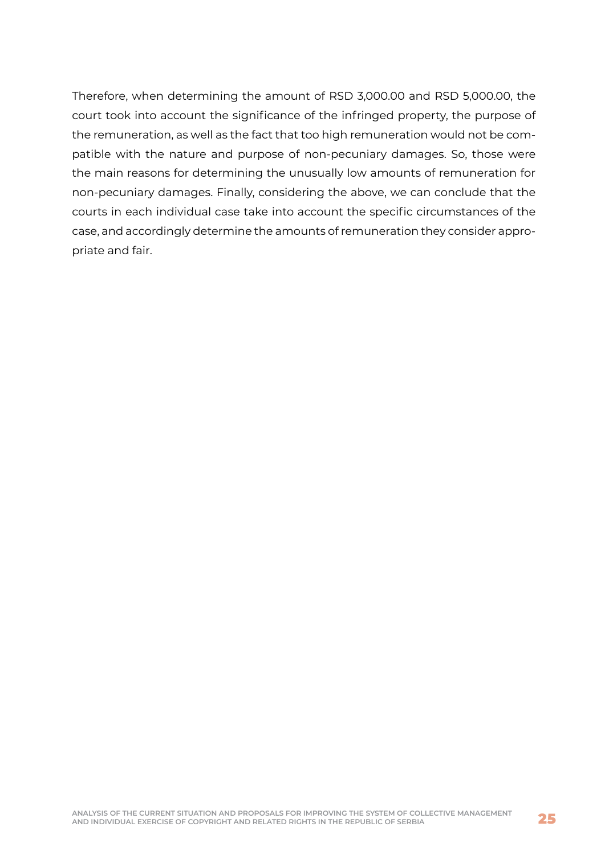Therefore, when determining the amount of RSD 3,000.00 and RSD 5,000.00, the court took into account the significance of the infringed property, the purpose of the remuneration, as well as the fact that too high remuneration would not be compatible with the nature and purpose of non-pecuniary damages. So, those were the main reasons for determining the unusually low amounts of remuneration for non-pecuniary damages. Finally, considering the above, we can conclude that the courts in each individual case take into account the specific circumstances of the case, and accordingly determine the amounts of remuneration they consider appropriate and fair.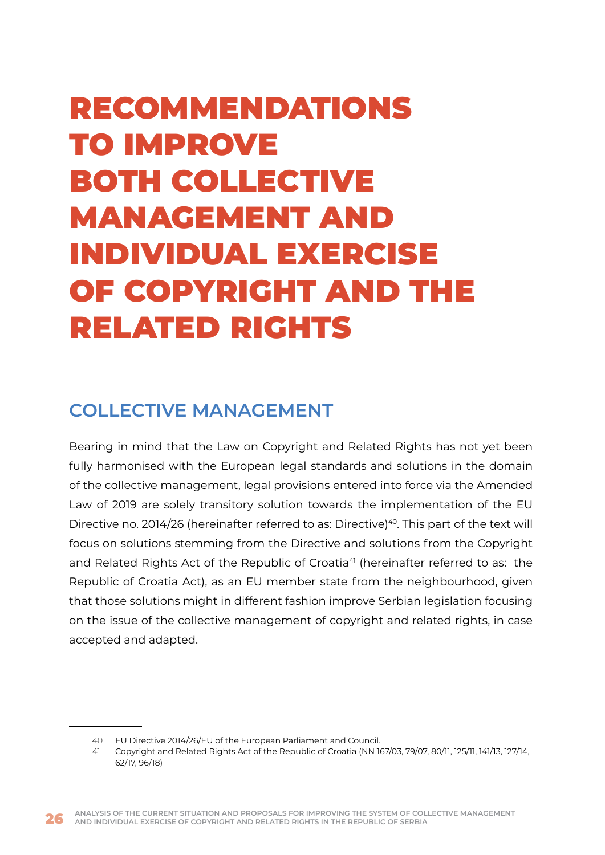# <span id="page-26-0"></span>RECOMMENDATIONS TO IMPROVE BOTH COLLECTIVE MANAGEMENT AND INDIVIDUAL EXERCISE OF COPYRIGHT AND THE RELATED RIGHTS

## **COLLECTIVE MANAGEMENT**

Bearing in mind that the Law on Copyright and Related Rights has not yet been fully harmonised with the European legal standards and solutions in the domain of the collective management, legal provisions entered into force via the Amended Law of 2019 are solely transitory solution towards the implementation of the EU Directive no. 2014/26 (hereinafter referred to as: Directive)<sup>40</sup>. This part of the text will focus on solutions stemming from the Directive and solutions from the Copyright and Related Rights Act of the Republic of Croatia<sup>41</sup> (hereinafter referred to as: the Republic of Croatia Act), as an EU member state from the neighbourhood, given that those solutions might in different fashion improve Serbian legislation focusing on the issue of the collective management of copyright and related rights, in case accepted and adapted.

<sup>40</sup> EU Directive 2014/26/EU of the European Parliament and Council.

<sup>41</sup> Copyright and Related Rights Act of the Republic of Croatia (NN 167/03, 79/07, 80/11, 125/11, 141/13, 127/14, 62/17, 96/18)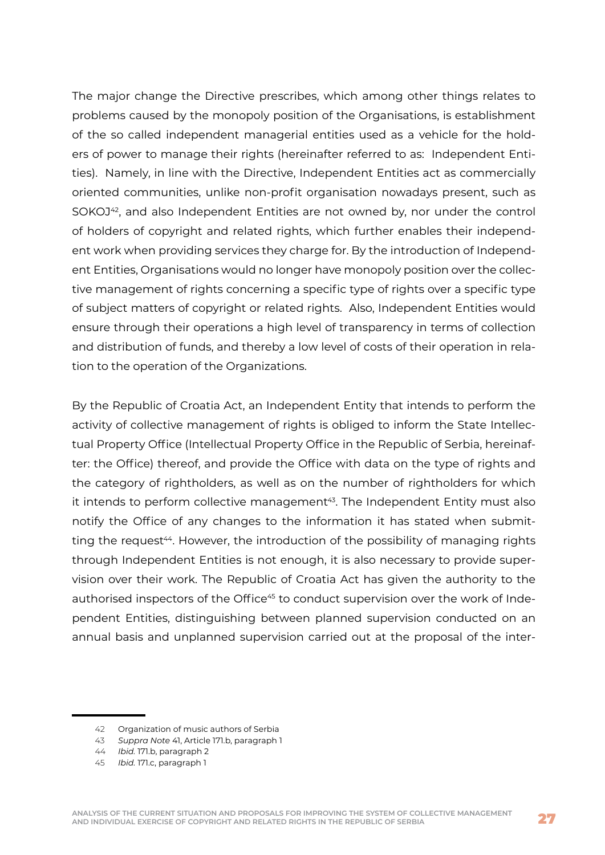The major change the Directive prescribes, which among other things relates to problems caused by the monopoly position of the Organisations, is establishment of the so called independent managerial entities used as a vehicle for the holders of power to manage their rights (hereinafter referred to as: Independent Entities). Namely, in line with the Directive, Independent Entities act as commercially oriented communities, unlike non-profit organisation nowadays present, such as SOKOJ<sup>42</sup>, and also Independent Entities are not owned by, nor under the control of holders of copyright and related rights, which further enables their independent work when providing services they charge for. By the introduction of Independent Entities, Organisations would no longer have monopoly position over the collective management of rights concerning a specific type of rights over a specific type of subject matters of copyright or related rights. Also, Independent Entities would ensure through their operations a high level of transparency in terms of collection and distribution of funds, and thereby a low level of costs of their operation in relation to the operation of the Organizations.

By the Republic of Croatia Act, an Independent Entity that intends to perform the activity of collective management of rights is obliged to inform the State Intellectual Property Office (Intellectual Property Office in the Republic of Serbia, hereinafter: the Office) thereof, and provide the Office with data on the type of rights and the category of rightholders, as well as on the number of rightholders for which it intends to perform collective management<sup>43</sup>. The Independent Entity must also notify the Office of any changes to the information it has stated when submitting the request<sup>44</sup>. However, the introduction of the possibility of managing rights through Independent Entities is not enough, it is also necessary to provide supervision over their work. The Republic of Croatia Act has given the authority to the authorised inspectors of the Office<sup>45</sup> to conduct supervision over the work of Independent Entities, distinguishing between planned supervision conducted on an annual basis and unplanned supervision carried out at the proposal of the inter-

<sup>42</sup> Organization of music authors of Serbia

<sup>43</sup> *Suppra Note* 41, Article 171.b, paragraph 1

<sup>44</sup> *Ibid.* 171.b, paragraph 2

<sup>45</sup> *Ibid.* 171.c, paragraph 1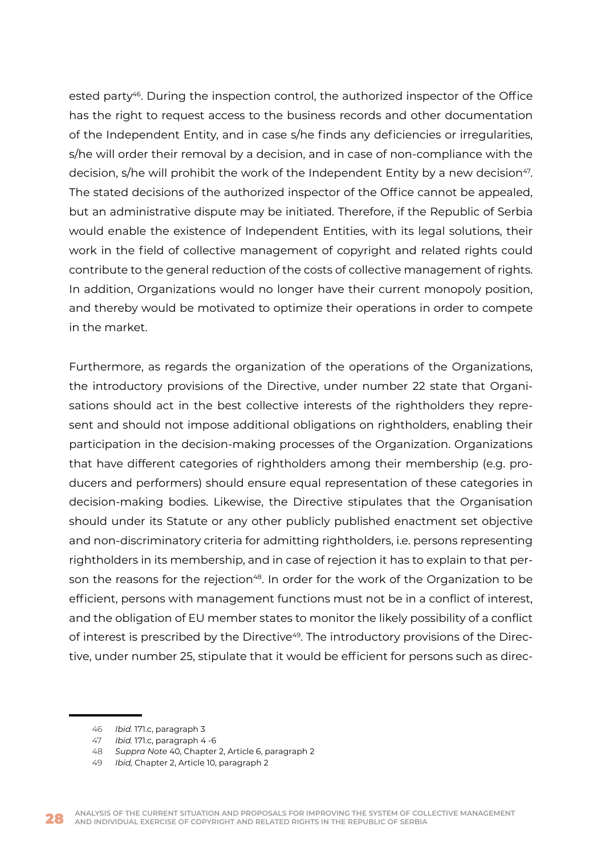ested party<sup>46</sup>. During the inspection control, the authorized inspector of the Office has the right to request access to the business records and other documentation of the Independent Entity, and in case s/he finds any deficiencies or irregularities, s/he will order their removal by a decision, and in case of non-compliance with the decision, s/he will prohibit the work of the Independent Entity by a new decision<sup>47</sup>. The stated decisions of the authorized inspector of the Office cannot be appealed, but an administrative dispute may be initiated. Therefore, if the Republic of Serbia would enable the existence of Independent Entities, with its legal solutions, their work in the field of collective management of copyright and related rights could contribute to the general reduction of the costs of collective management of rights. In addition, Organizations would no longer have their current monopoly position, and thereby would be motivated to optimize their operations in order to compete in the market.

Furthermore, as regards the organization of the operations of the Organizations, the introductory provisions of the Directive, under number 22 state that Organisations should act in the best collective interests of the rightholders they represent and should not impose additional obligations on rightholders, enabling their participation in the decision-making processes of the Organization. Organizations that have different categories of rightholders among their membership (e.g. producers and performers) should ensure equal representation of these categories in decision-making bodies. Likewise, the Directive stipulates that the Organisation should under its Statute or any other publicly published enactment set objective and non-discriminatory criteria for admitting rightholders, i.e. persons representing rightholders in its membership, and in case of rejection it has to explain to that person the reasons for the rejection<sup>48</sup>. In order for the work of the Organization to be efficient, persons with management functions must not be in a conflict of interest, and the obligation of EU member states to monitor the likely possibility of a conflict of interest is prescribed by the Directive<sup>49</sup>. The introductory provisions of the Directive, under number 25, stipulate that it would be efficient for persons such as direc-

<sup>46</sup> *Ibid.* 171.c, paragraph 3

<sup>47</sup> *Ibid.* 171.c, paragraph 4 -6

<sup>48</sup> *Suppra Note* 40, Chapter 2, Article 6, paragraph 2

<sup>49</sup> *Ibid,* Chapter 2, Article 10, paragraph 2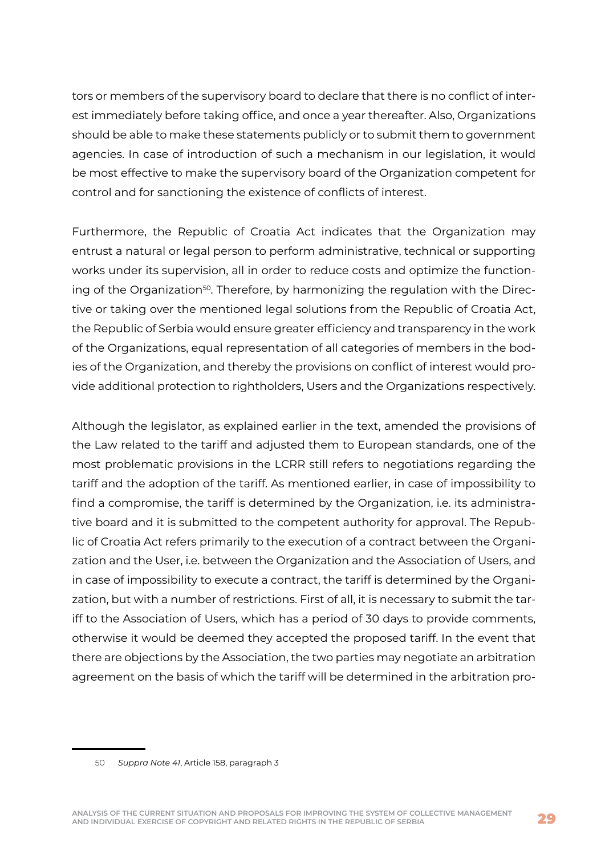tors or members of the supervisory board to declare that there is no conflict of interest immediately before taking office, and once a year thereafter. Also, Organizations should be able to make these statements publicly or to submit them to government agencies. In case of introduction of such a mechanism in our legislation, it would be most effective to make the supervisory board of the Organization competent for control and for sanctioning the existence of conflicts of interest.

Furthermore, the Republic of Croatia Act indicates that the Organization may entrust a natural or legal person to perform administrative, technical or supporting works under its supervision, all in order to reduce costs and optimize the functioning of the Organization<sup>50</sup>. Therefore, by harmonizing the regulation with the Directive or taking over the mentioned legal solutions from the Republic of Croatia Act, the Republic of Serbia would ensure greater efficiency and transparency in the work of the Organizations, equal representation of all categories of members in the bodies of the Organization, and thereby the provisions on conflict of interest would provide additional protection to rightholders, Users and the Organizations respectively.

Although the legislator, as explained earlier in the text, amended the provisions of the Law related to the tariff and adjusted them to European standards, one of the most problematic provisions in the LCRR still refers to negotiations regarding the tariff and the adoption of the tariff. As mentioned earlier, in case of impossibility to find a compromise, the tariff is determined by the Organization, i.e. its administrative board and it is submitted to the competent authority for approval. The Republic of Croatia Act refers primarily to the execution of a contract between the Organization and the User, i.e. between the Organization and the Association of Users, and in case of impossibility to execute a contract, the tariff is determined by the Organization, but with a number of restrictions. First of all, it is necessary to submit the tariff to the Association of Users, which has a period of 30 days to provide comments, otherwise it would be deemed they accepted the proposed tariff. In the event that there are objections by the Association, the two parties may negotiate an arbitration agreement on the basis of which the tariff will be determined in the arbitration pro-

<sup>50</sup> *Suppra Note 41*, Article 158, paragraph 3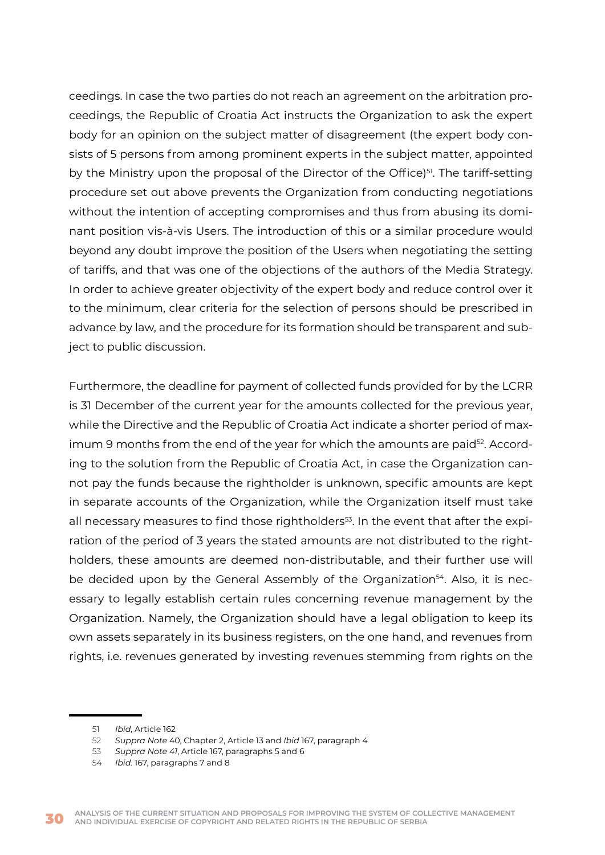ceedings. In case the two parties do not reach an agreement on the arbitration proceedings, the Republic of Croatia Act instructs the Organization to ask the expert body for an opinion on the subject matter of disagreement (the expert body consists of 5 persons from among prominent experts in the subject matter, appointed by the Ministry upon the proposal of the Director of the Office)<sup>51</sup>. The tariff-setting procedure set out above prevents the Organization from conducting negotiations without the intention of accepting compromises and thus from abusing its dominant position vis-à-vis Users. The introduction of this or a similar procedure would beyond any doubt improve the position of the Users when negotiating the setting of tariffs, and that was one of the objections of the authors of the Media Strategy. In order to achieve greater objectivity of the expert body and reduce control over it to the minimum, clear criteria for the selection of persons should be prescribed in advance by law, and the procedure for its formation should be transparent and subject to public discussion.

Furthermore, the deadline for payment of collected funds provided for by the LCRR is 31 December of the current year for the amounts collected for the previous year, while the Directive and the Republic of Croatia Act indicate a shorter period of maximum 9 months from the end of the year for which the amounts are paid<sup>52</sup>. According to the solution from the Republic of Croatia Act, in case the Organization cannot pay the funds because the rightholder is unknown, specific amounts are kept in separate accounts of the Organization, while the Organization itself must take all necessary measures to find those rightholders<sup>53</sup>. In the event that after the expiration of the period of 3 years the stated amounts are not distributed to the rightholders, these amounts are deemed non-distributable, and their further use will be decided upon by the General Assembly of the Organization<sup>54</sup>. Also, it is necessary to legally establish certain rules concerning revenue management by the Organization. Namely, the Organization should have a legal obligation to keep its own assets separately in its business registers, on the one hand, and revenues from rights, i.e. revenues generated by investing revenues stemming from rights on the

<sup>51</sup> *Ibid*, Article 162

<sup>52</sup> *Suppra Note* 40, Chapter 2, Article 13 and *Ibid* 167, paragraph 4

<sup>53</sup> *Suppra Note 41*, Article 167, paragraphs 5 and 6

<sup>54</sup> *Ibid.* 167, paragraphs 7 and 8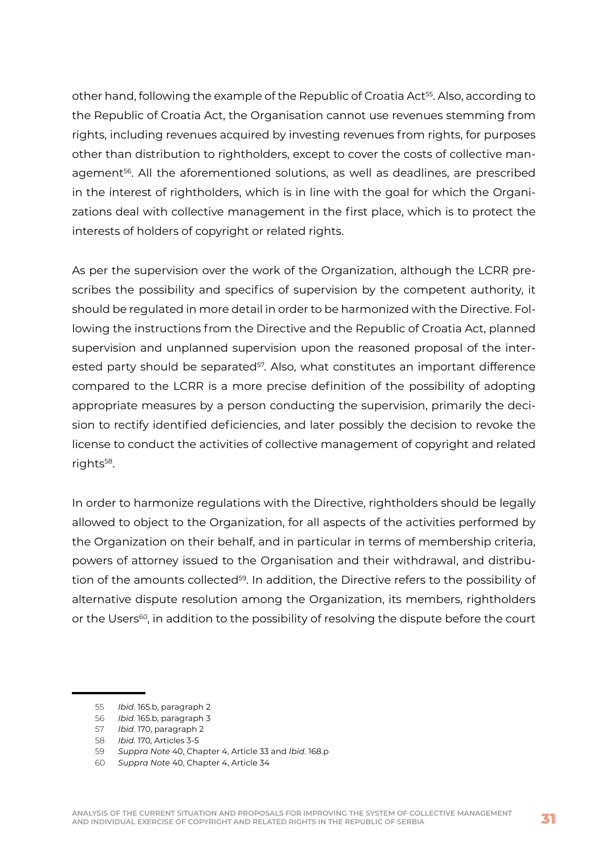other hand, following the example of the Republic of Croatia Act<sup>55</sup>. Also, according to the Republic of Croatia Act, the Organisation cannot use revenues stemming from rights, including revenues acquired by investing revenues from rights, for purposes other than distribution to rightholders, except to cover the costs of collective management56. All the aforementioned solutions, as well as deadlines, are prescribed in the interest of rightholders, which is in line with the goal for which the Organizations deal with collective management in the first place, which is to protect the interests of holders of copyright or related rights.

As per the supervision over the work of the Organization, although the LCRR prescribes the possibility and specifics of supervision by the competent authority, it should be regulated in more detail in order to be harmonized with the Directive. Following the instructions from the Directive and the Republic of Croatia Act, planned supervision and unplanned supervision upon the reasoned proposal of the interested party should be separated<sup>57</sup>. Also, what constitutes an important difference compared to the LCRR is a more precise definition of the possibility of adopting appropriate measures by a person conducting the supervision, primarily the decision to rectify identified deficiencies, and later possibly the decision to revoke the license to conduct the activities of collective management of copyright and related rights<sup>58</sup>.

In order to harmonize regulations with the Directive, rightholders should be legally allowed to object to the Organization, for all aspects of the activities performed by the Organization on their behalf, and in particular in terms of membership criteria, powers of attorney issued to the Organisation and their withdrawal, and distribution of the amounts collected<sup>59</sup>. In addition, the Directive refers to the possibility of alternative dispute resolution among the Organization, its members, rightholders or the Users<sup>60</sup>, in addition to the possibility of resolving the dispute before the court

<sup>55</sup> *Ibid.* 165.b, paragraph 2

<sup>56</sup> *Ibid.* 165.b, paragraph 3

<sup>57</sup> *Ibid.* 170, paragraph 2

<sup>58</sup> *Ibid.* 170, Articles 3-5

<sup>59</sup> *Suppra Note* 40, Chapter 4, Article 33 and *Ibid.* 168.p

<sup>60</sup> *Suppra Note* 40, Chapter 4, Article 34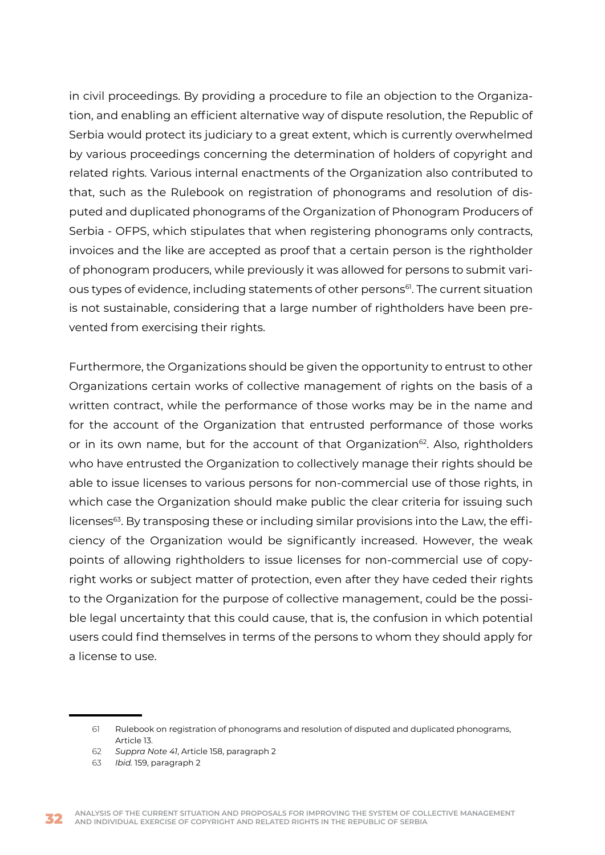in civil proceedings. By providing a procedure to file an objection to the Organization, and enabling an efficient alternative way of dispute resolution, the Republic of Serbia would protect its judiciary to a great extent, which is currently overwhelmed by various proceedings concerning the determination of holders of copyright and related rights. Various internal enactments of the Organization also contributed to that, such as the Rulebook on registration of phonograms and resolution of disputed and duplicated phonograms of the Organization of Phonogram Producers of Serbia - OFPS, which stipulates that when registering phonograms only contracts, invoices and the like are accepted as proof that a certain person is the rightholder of phonogram producers, while previously it was allowed for persons to submit various types of evidence, including statements of other persons<sup>61</sup>. The current situation is not sustainable, considering that a large number of rightholders have been prevented from exercising their rights.

Furthermore, the Organizations should be given the opportunity to entrust to other Organizations certain works of collective management of rights on the basis of a written contract, while the performance of those works may be in the name and for the account of the Organization that entrusted performance of those works or in its own name, but for the account of that Organization<sup>62</sup>. Also, rightholders who have entrusted the Organization to collectively manage their rights should be able to issue licenses to various persons for non-commercial use of those rights, in which case the Organization should make public the clear criteria for issuing such licenses<sup>63</sup>. By transposing these or including similar provisions into the Law, the efficiency of the Organization would be significantly increased. However, the weak points of allowing rightholders to issue licenses for non-commercial use of copyright works or subject matter of protection, even after they have ceded their rights to the Organization for the purpose of collective management, could be the possible legal uncertainty that this could cause, that is, the confusion in which potential users could find themselves in terms of the persons to whom they should apply for a license to use.

<sup>61</sup> Rulebook on registration of phonograms and resolution of disputed and duplicated phonograms, Article 13.

<sup>62</sup> *Suppra Note 41*, Article 158, paragraph 2

<sup>63</sup> *Ibid.* 159, paragraph 2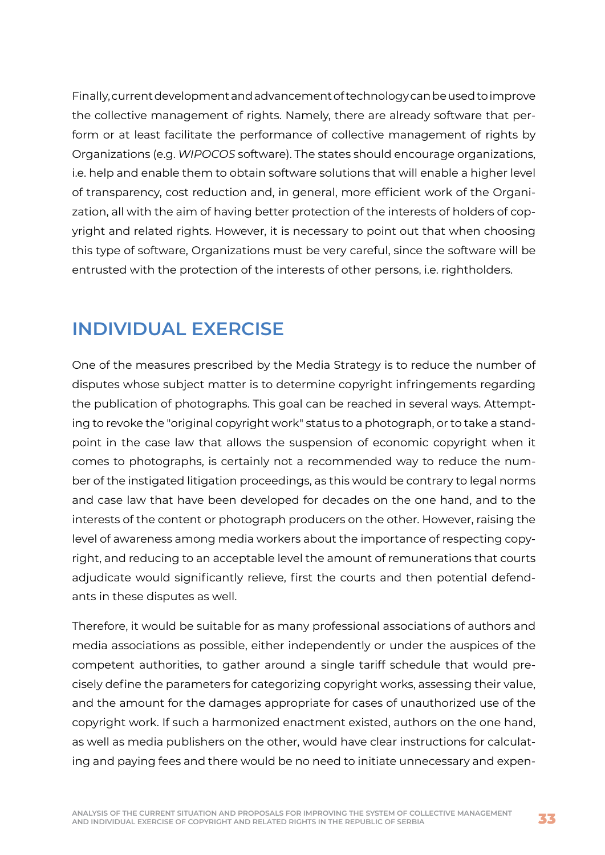<span id="page-33-0"></span>Finally, current development and advancement of technology can be used to improve the collective management of rights. Namely, there are already software that perform or at least facilitate the performance of collective management of rights by Organizations (e.g. *WIPOCOS* software). The states should encourage organizations, i.e. help and enable them to obtain software solutions that will enable a higher level of transparency, cost reduction and, in general, more efficient work of the Organization, all with the aim of having better protection of the interests of holders of copyright and related rights. However, it is necessary to point out that when choosing this type of software, Organizations must be very careful, since the software will be entrusted with the protection of the interests of other persons, i.e. rightholders.

## **INDIVIDUAL EXERCISE**

One of the measures prescribed by the Media Strategy is to reduce the number of disputes whose subject matter is to determine copyright infringements regarding the publication of photographs. This goal can be reached in several ways. Attempting to revoke the "original copyright work" status to a photograph, or to take a standpoint in the case law that allows the suspension of economic copyright when it comes to photographs, is certainly not a recommended way to reduce the number of the instigated litigation proceedings, as this would be contrary to legal norms and case law that have been developed for decades on the one hand, and to the interests of the content or photograph producers on the other. However, raising the level of awareness among media workers about the importance of respecting copyright, and reducing to an acceptable level the amount of remunerations that courts adjudicate would significantly relieve, first the courts and then potential defendants in these disputes as well.

Therefore, it would be suitable for as many professional associations of authors and media associations as possible, either independently or under the auspices of the competent authorities, to gather around a single tariff schedule that would precisely define the parameters for categorizing copyright works, assessing their value, and the amount for the damages appropriate for cases of unauthorized use of the copyright work. If such a harmonized enactment existed, authors on the one hand, as well as media publishers on the other, would have clear instructions for calculating and paying fees and there would be no need to initiate unnecessary and expen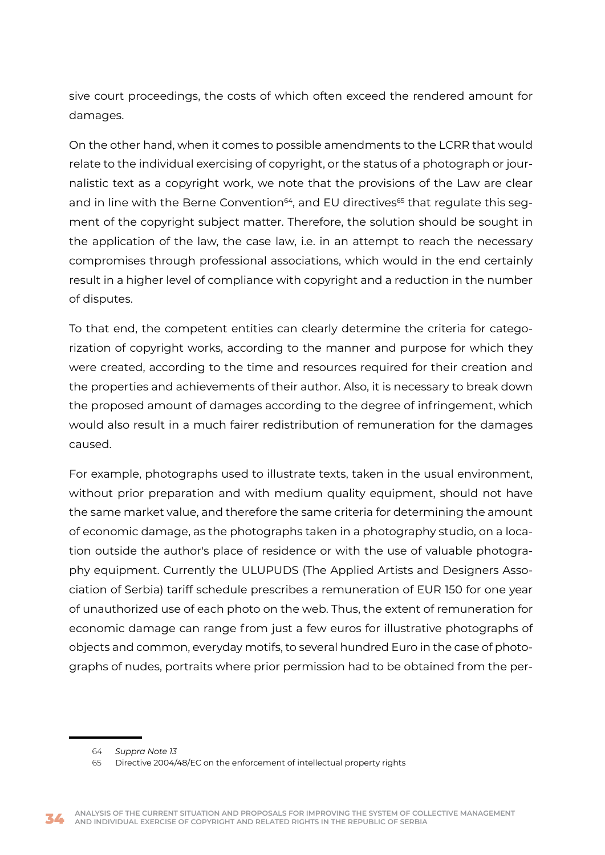sive court proceedings, the costs of which often exceed the rendered amount for damages.

On the other hand, when it comes to possible amendments to the LCRR that would relate to the individual exercising of copyright, or the status of a photograph or journalistic text as a copyright work, we note that the provisions of the Law are clear and in line with the Berne Convention<sup>64</sup>, and EU directives<sup>65</sup> that regulate this segment of the copyright subject matter. Therefore, the solution should be sought in the application of the law, the case law, i.e. in an attempt to reach the necessary compromises through professional associations, which would in the end certainly result in a higher level of compliance with copyright and a reduction in the number of disputes.

To that end, the competent entities can clearly determine the criteria for categorization of copyright works, according to the manner and purpose for which they were created, according to the time and resources required for their creation and the properties and achievements of their author. Also, it is necessary to break down the proposed amount of damages according to the degree of infringement, which would also result in a much fairer redistribution of remuneration for the damages caused.

For example, photographs used to illustrate texts, taken in the usual environment, without prior preparation and with medium quality equipment, should not have the same market value, and therefore the same criteria for determining the amount of economic damage, as the photographs taken in a photography studio, on a location outside the author's place of residence or with the use of valuable photography equipment. Currently the ULUPUDS (The Applied Artists and Designers Association of Serbia) tariff schedule prescribes a remuneration of EUR 150 for one year of unauthorized use of each photo on the web. Thus, the extent of remuneration for economic damage can range from just a few euros for illustrative photographs of objects and common, everyday motifs, to several hundred Euro in the case of photographs of nudes, portraits where prior permission had to be obtained from the per-

<sup>64</sup> *Suppra Note 13*

<sup>65</sup> Directive 2004/48/EC on the enforcement of intellectual property rights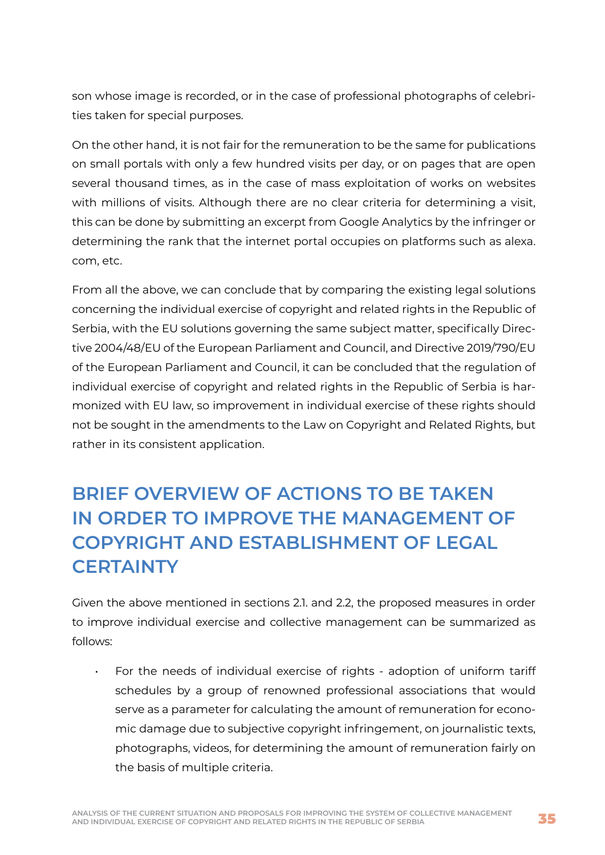<span id="page-35-0"></span>son whose image is recorded, or in the case of professional photographs of celebrities taken for special purposes.

On the other hand, it is not fair for the remuneration to be the same for publications on small portals with only a few hundred visits per day, or on pages that are open several thousand times, as in the case of mass exploitation of works on websites with millions of visits. Although there are no clear criteria for determining a visit, this can be done by submitting an excerpt from Google Analytics by the infringer or determining the rank that the internet portal occupies on platforms such as alexa. com, etc.

From all the above, we can conclude that by comparing the existing legal solutions concerning the individual exercise of copyright and related rights in the Republic of Serbia, with the EU solutions governing the same subject matter, specifically Directive 2004/48/EU of the European Parliament and Council, and Directive 2019/790/EU of the European Parliament and Council, it can be concluded that the regulation of individual exercise of copyright and related rights in the Republic of Serbia is harmonized with EU law, so improvement in individual exercise of these rights should not be sought in the amendments to the Law on Copyright and Related Rights, but rather in its consistent application.

## **BRIEF OVERVIEW OF ACTIONS TO BE TAKEN IN ORDER TO IMPROVE THE MANAGEMENT OF COPYRIGHT AND ESTABLISHMENT OF LEGAL CERTAINTY**

Given the above mentioned in sections 2.1. and 2.2, the proposed measures in order to improve individual exercise and collective management can be summarized as follows:

• For the needs of individual exercise of rights - adoption of uniform tariff schedules by a group of renowned professional associations that would serve as a parameter for calculating the amount of remuneration for economic damage due to subjective copyright infringement, on journalistic texts, photographs, videos, for determining the amount of remuneration fairly on the basis of multiple criteria.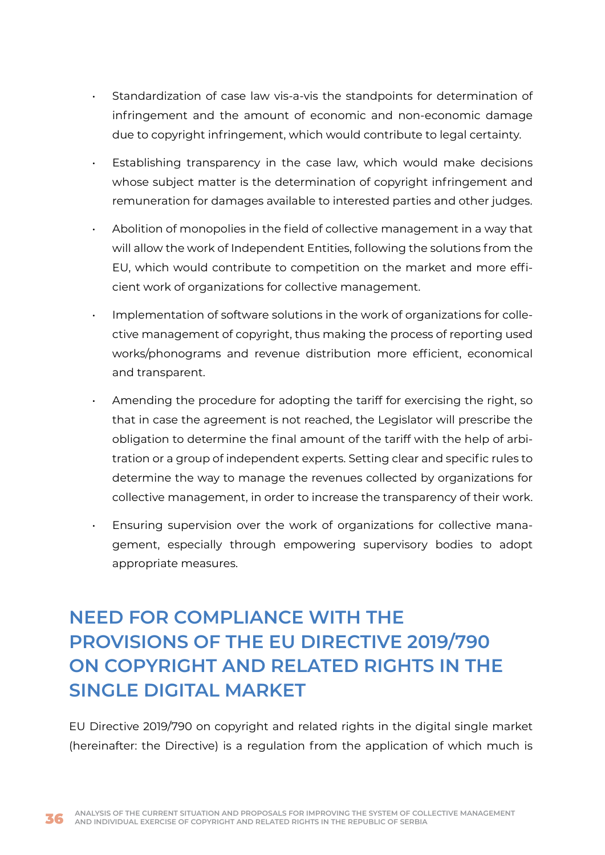- <span id="page-36-0"></span>• Standardization of case law vis-a-vis the standpoints for determination of infringement and the amount of economic and non-economic damage due to copyright infringement, which would contribute to legal certainty.
- Establishing transparency in the case law, which would make decisions whose subject matter is the determination of copyright infringement and remuneration for damages available to interested parties and other judges.
- Abolition of monopolies in the field of collective management in a way that will allow the work of Independent Entities, following the solutions from the EU, which would contribute to competition on the market and more efficient work of organizations for collective management.
- Implementation of software solutions in the work of organizations for collective management of copyright, thus making the process of reporting used works/phonograms and revenue distribution more efficient, economical and transparent.
- Amending the procedure for adopting the tariff for exercising the right, so that in case the agreement is not reached, the Legislator will prescribe the obligation to determine the final amount of the tariff with the help of arbitration or a group of independent experts. Setting clear and specific rules to determine the way to manage the revenues collected by organizations for collective management, in order to increase the transparency of their work.
	- Ensuring supervision over the work of organizations for collective management, especially through empowering supervisory bodies to adopt appropriate measures.

# **NEED FOR COMPLIANCE WITH THE PROVISIONS OF THE EU DIRECTIVE 2019/790 ON COPYRIGHT AND RELATED RIGHTS IN THE SINGLE DIGITAL MARKET**

EU Directive 2019/790 on copyright and related rights in the digital single market (hereinafter: the Directive) is a regulation from the application of which much is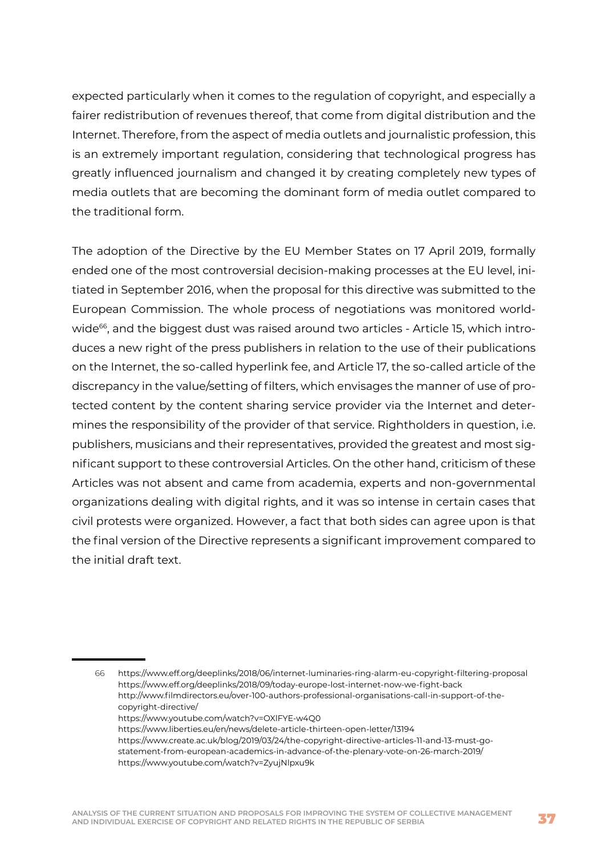expected particularly when it comes to the regulation of copyright, and especially a fairer redistribution of revenues thereof, that come from digital distribution and the Internet. Therefore, from the aspect of media outlets and journalistic profession, this is an extremely important regulation, considering that technological progress has greatly influenced journalism and changed it by creating completely new types of media outlets that are becoming the dominant form of media outlet compared to the traditional form.

The adoption of the Directive by the EU Member States on 17 April 2019, formally ended one of the most controversial decision-making processes at the EU level, initiated in September 2016, when the proposal for this directive was submitted to the European Commission. The whole process of negotiations was monitored worldwide<sup>66</sup>, and the biggest dust was raised around two articles - Article 15, which introduces a new right of the press publishers in relation to the use of their publications on the Internet, the so-called hyperlink fee, and Article 17, the so-called article of the discrepancy in the value/setting of filters, which envisages the manner of use of protected content by the content sharing service provider via the Internet and determines the responsibility of the provider of that service. Rightholders in question, i.e. publishers, musicians and their representatives, provided the greatest and most significant support to these controversial Articles. On the other hand, criticism of these Articles was not absent and came from academia, experts and non-governmental organizations dealing with digital rights, and it was so intense in certain cases that civil protests were organized. However, a fact that both sides can agree upon is that the final version of the Directive represents a significant improvement compared to the initial draft text.

66 https://www.eff.org/deeplinks/2018/06/internet-luminaries-ring-alarm-eu-copyright-filtering-proposal https://www.eff.org/deeplinks/2018/09/today-europe-lost-internet-now-we-fight-back http://www.filmdirectors.eu/over-100-authors-professional-organisations-call-in-support-of-thecopyright-directive/ https://www.youtube.com/watch?v=OXlFYE-w4Q0 https://www.liberties.eu/en/news/delete-article-thirteen-open-letter/13194 https://www.create.ac.uk/blog/2019/03/24/the-copyright-directive-articles-11-and-13-must-gostatement-from-european-academics-in-advance-of-the-plenary-vote-on-26-march-2019/ https://www.youtube.com/watch?v=ZyujNlpxu9k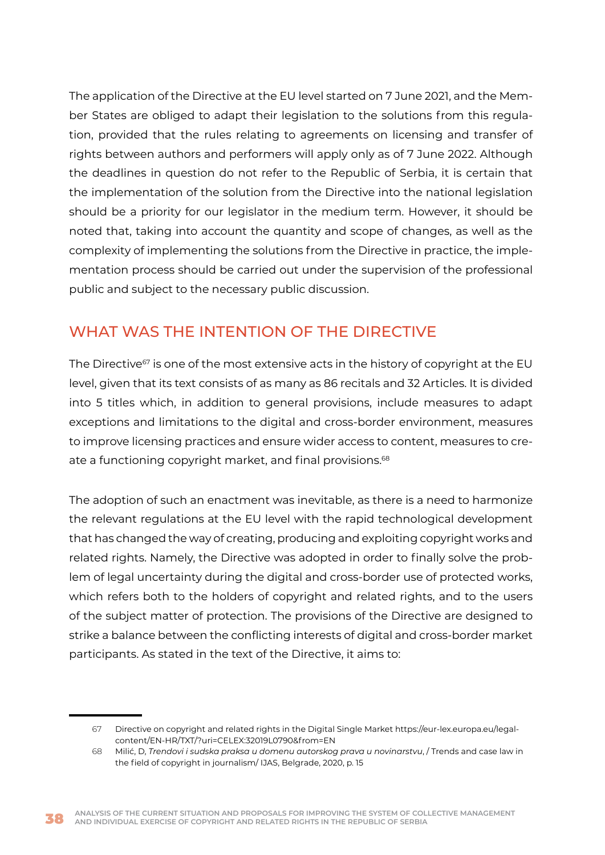<span id="page-38-0"></span>The application of the Directive at the EU level started on 7 June 2021, and the Member States are obliged to adapt their legislation to the solutions from this regulation, provided that the rules relating to agreements on licensing and transfer of rights between authors and performers will apply only as of 7 June 2022. Although the deadlines in question do not refer to the Republic of Serbia, it is certain that the implementation of the solution from the Directive into the national legislation should be a priority for our legislator in the medium term. However, it should be noted that, taking into account the quantity and scope of changes, as well as the complexity of implementing the solutions from the Directive in practice, the implementation process should be carried out under the supervision of the professional public and subject to the necessary public discussion.

## WHAT WAS THE INTENTION OF THE DIRECTIVE

The Directive<sup>67</sup> is one of the most extensive acts in the history of copyright at the EU level, given that its text consists of as many as 86 recitals and 32 Articles. It is divided into 5 titles which, in addition to general provisions, include measures to adapt exceptions and limitations to the digital and cross-border environment, measures to improve licensing practices and ensure wider access to content, measures to create a functioning copyright market, and final provisions.<sup>68</sup>

The adoption of such an enactment was inevitable, as there is a need to harmonize the relevant regulations at the EU level with the rapid technological development that has changed the way of creating, producing and exploiting copyright works and related rights. Namely, the Directive was adopted in order to finally solve the problem of legal uncertainty during the digital and cross-border use of protected works, which refers both to the holders of copyright and related rights, and to the users of the subject matter of protection. The provisions of the Directive are designed to strike a balance between the conflicting interests of digital and cross-border market participants. As stated in the text of the Directive, it aims to:

<sup>67</sup> Directive on copyright and related rights in the Digital Single Market https://eur-lex.europa.eu/legalcontent/EN-HR/TXT/?uri=CELEX:32019L0790&from=EN

<sup>68</sup> Milić, D, *Trendovi i sudska praksa u domenu autorskog prava u novinarstvu*, / Trends and case law in the field of copyright in journalism/ IJAS, Belgrade, 2020, p. 15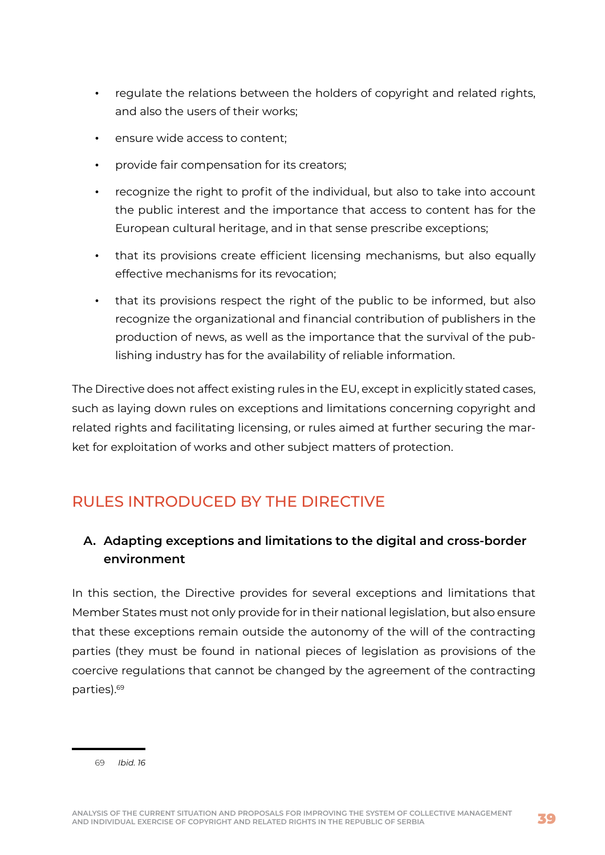- <span id="page-39-0"></span>• regulate the relations between the holders of copyright and related rights, and also the users of their works;
- ensure wide access to content;
- provide fair compensation for its creators;
- recognize the right to profit of the individual, but also to take into account the public interest and the importance that access to content has for the European cultural heritage, and in that sense prescribe exceptions;
- that its provisions create efficient licensing mechanisms, but also equally effective mechanisms for its revocation;
- that its provisions respect the right of the public to be informed, but also recognize the organizational and financial contribution of publishers in the production of news, as well as the importance that the survival of the publishing industry has for the availability of reliable information.

The Directive does not affect existing rules in the EU, except in explicitly stated cases, such as laying down rules on exceptions and limitations concerning copyright and related rights and facilitating licensing, or rules aimed at further securing the market for exploitation of works and other subject matters of protection.

## RULES INTRODUCED BY THE DIRECTIVE

## **A. Adapting exceptions and limitations to the digital and cross-border environment**

In this section, the Directive provides for several exceptions and limitations that Member States must not only provide for in their national legislation, but also ensure that these exceptions remain outside the autonomy of the will of the contracting parties (they must be found in national pieces of legislation as provisions of the coercive regulations that cannot be changed by the agreement of the contracting parties).69

69 *Ibid. 16*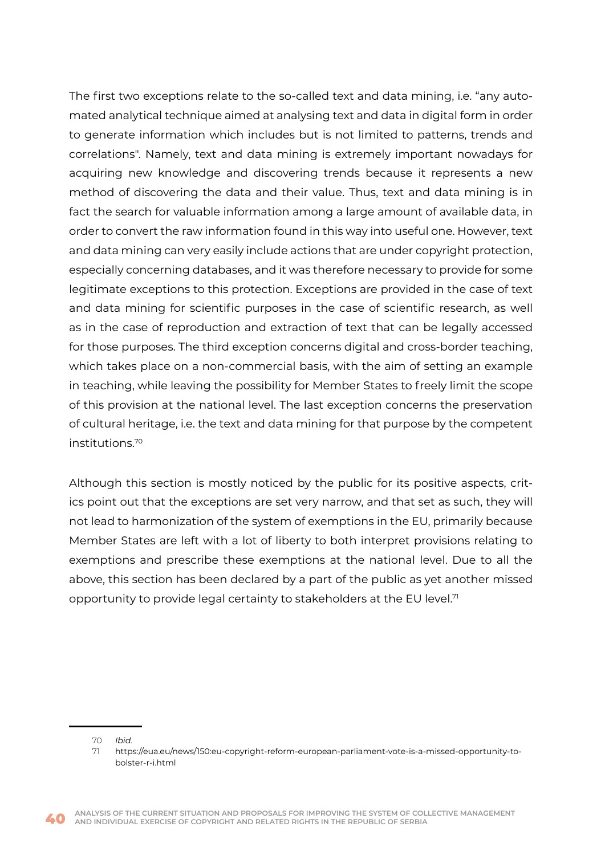The first two exceptions relate to the so-called text and data mining, i.e. "any automated analytical technique aimed at analysing text and data in digital form in order to generate information which includes but is not limited to patterns, trends and correlations". Namely, text and data mining is extremely important nowadays for acquiring new knowledge and discovering trends because it represents a new method of discovering the data and their value. Thus, text and data mining is in fact the search for valuable information among a large amount of available data, in order to convert the raw information found in this way into useful one. However, text and data mining can very easily include actions that are under copyright protection, especially concerning databases, and it was therefore necessary to provide for some legitimate exceptions to this protection. Exceptions are provided in the case of text and data mining for scientific purposes in the case of scientific research, as well as in the case of reproduction and extraction of text that can be legally accessed for those purposes. The third exception concerns digital and cross-border teaching, which takes place on a non-commercial basis, with the aim of setting an example in teaching, while leaving the possibility for Member States to freely limit the scope of this provision at the national level. The last exception concerns the preservation of cultural heritage, i.e. the text and data mining for that purpose by the competent institutions.70

Although this section is mostly noticed by the public for its positive aspects, critics point out that the exceptions are set very narrow, and that set as such, they will not lead to harmonization of the system of exemptions in the EU, primarily because Member States are left with a lot of liberty to both interpret provisions relating to exemptions and prescribe these exemptions at the national level. Due to all the above, this section has been declared by a part of the public as yet another missed opportunity to provide legal certainty to stakeholders at the EU level. $<sup>7</sup>$ </sup>

<sup>70</sup> *Ibid.*

<sup>71</sup> https://eua.eu/news/150:eu-copyright-reform-european-parliament-vote-is-a-missed-opportunity-tobolster-r-i.html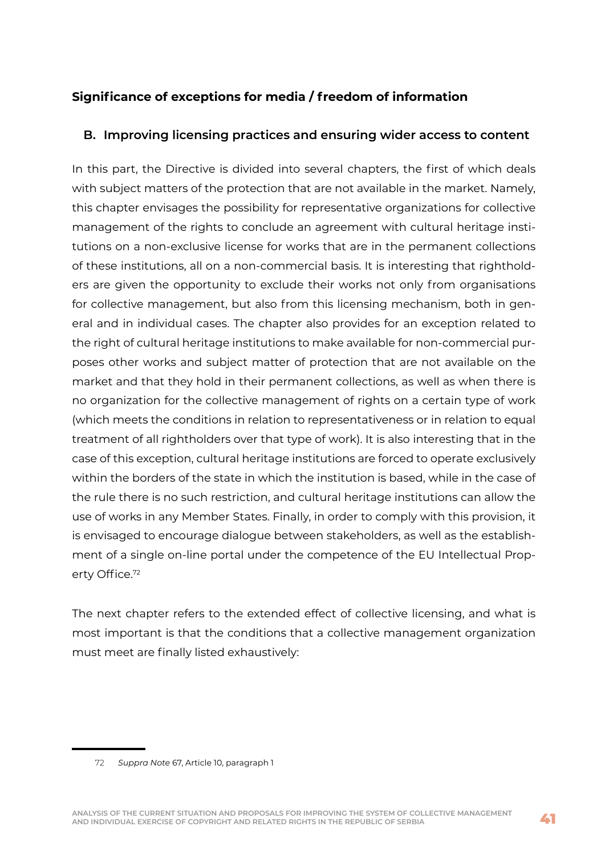### **Significance of exceptions for media / freedom of information**

#### **B. Improving licensing practices and ensuring wider access to content**

In this part, the Directive is divided into several chapters, the first of which deals with subject matters of the protection that are not available in the market. Namely, this chapter envisages the possibility for representative organizations for collective management of the rights to conclude an agreement with cultural heritage institutions on a non-exclusive license for works that are in the permanent collections of these institutions, all on a non-commercial basis. It is interesting that rightholders are given the opportunity to exclude their works not only from organisations for collective management, but also from this licensing mechanism, both in general and in individual cases. The chapter also provides for an exception related to the right of cultural heritage institutions to make available for non-commercial purposes other works and subject matter of protection that are not available on the market and that they hold in their permanent collections, as well as when there is no organization for the collective management of rights on a certain type of work (which meets the conditions in relation to representativeness or in relation to equal treatment of all rightholders over that type of work). It is also interesting that in the case of this exception, cultural heritage institutions are forced to operate exclusively within the borders of the state in which the institution is based, while in the case of the rule there is no such restriction, and cultural heritage institutions can allow the use of works in any Member States. Finally, in order to comply with this provision, it is envisaged to encourage dialogue between stakeholders, as well as the establishment of a single on-line portal under the competence of the EU Intellectual Property Office.<sup>72</sup>

The next chapter refers to the extended effect of collective licensing, and what is most important is that the conditions that a collective management organization must meet are finally listed exhaustively:

<sup>72</sup> *Suppra Note* 67, Article 10, paragraph 1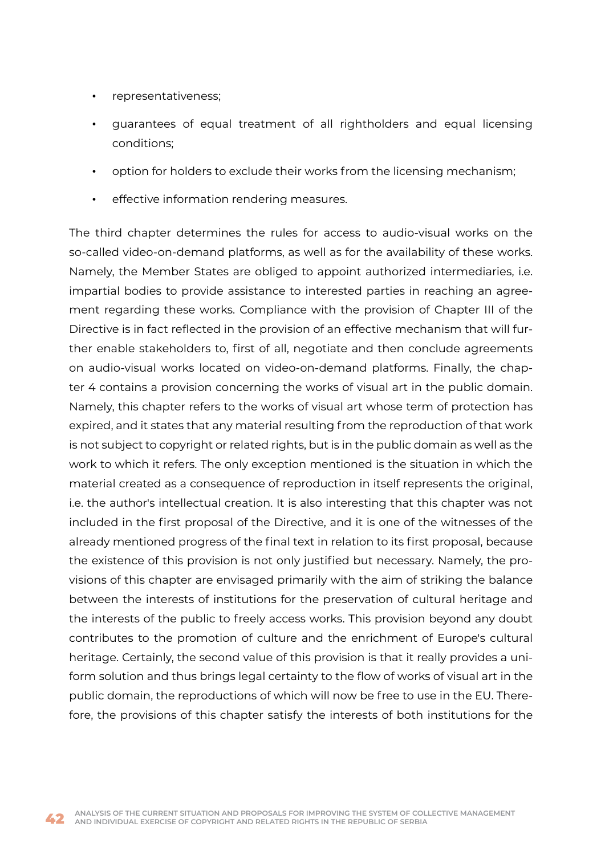- representativeness;
- guarantees of equal treatment of all rightholders and equal licensing conditions;
- option for holders to exclude their works from the licensing mechanism;
- effective information rendering measures.

The third chapter determines the rules for access to audio-visual works on the so-called video-on-demand platforms, as well as for the availability of these works. Namely, the Member States are obliged to appoint authorized intermediaries, i.e. impartial bodies to provide assistance to interested parties in reaching an agreement regarding these works. Compliance with the provision of Chapter III of the Directive is in fact reflected in the provision of an effective mechanism that will further enable stakeholders to, first of all, negotiate and then conclude agreements on audio-visual works located on video-on-demand platforms. Finally, the chapter 4 contains a provision concerning the works of visual art in the public domain. Namely, this chapter refers to the works of visual art whose term of protection has expired, and it states that any material resulting from the reproduction of that work is not subject to copyright or related rights, but is in the public domain as well as the work to which it refers. The only exception mentioned is the situation in which the material created as a consequence of reproduction in itself represents the original, i.e. the author's intellectual creation. It is also interesting that this chapter was not included in the first proposal of the Directive, and it is one of the witnesses of the already mentioned progress of the final text in relation to its first proposal, because the existence of this provision is not only justified but necessary. Namely, the provisions of this chapter are envisaged primarily with the aim of striking the balance between the interests of institutions for the preservation of cultural heritage and the interests of the public to freely access works. This provision beyond any doubt contributes to the promotion of culture and the enrichment of Europe's cultural heritage. Certainly, the second value of this provision is that it really provides a uniform solution and thus brings legal certainty to the flow of works of visual art in the public domain, the reproductions of which will now be free to use in the EU. Therefore, the provisions of this chapter satisfy the interests of both institutions for the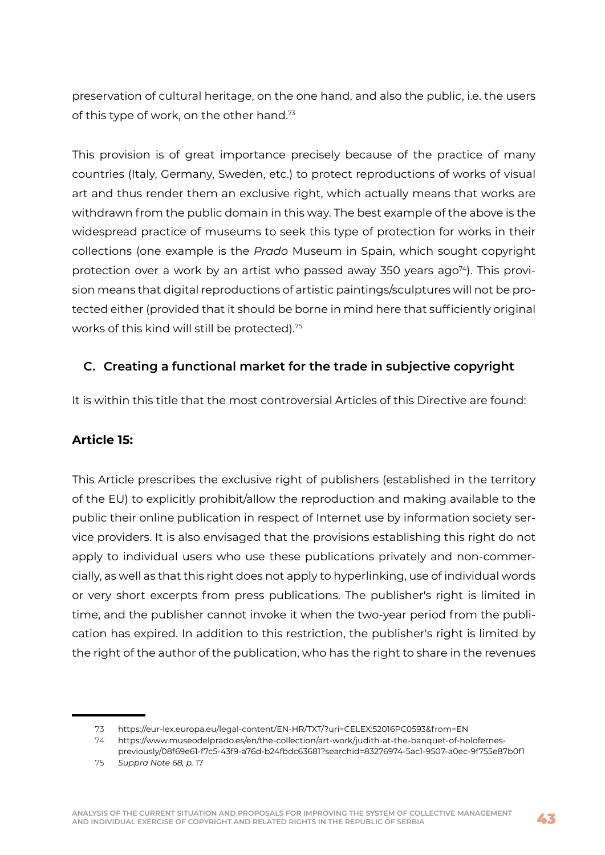preservation of cultural heritage, on the one hand, and also the public, i.e. the users of this type of work, on the other hand.<sup>73</sup>

This provision is of great importance precisely because of the practice of many countries (Italy, Germany, Sweden, etc.) to protect reproductions of works of visual art and thus render them an exclusive right, which actually means that works are withdrawn from the public domain in this way. The best example of the above is the widespread practice of museums to seek this type of protection for works in their collections (one example is the *Prado* Museum in Spain, which sought copyright protection over a work by an artist who passed away 350 years ago<sup>74</sup>). This provision means that digital reproductions of artistic paintings/sculptures will not be protected either (provided that it should be borne in mind here that sufficiently original works of this kind will still be protected).75

#### **C. Creating a functional market for the trade in subjective copyright**

It is within this title that the most controversial Articles of this Directive are found:

#### **Article 15:**

This Article prescribes the exclusive right of publishers (established in the territory of the EU) to explicitly prohibit/allow the reproduction and making available to the public their online publication in respect of Internet use by information society service providers. It is also envisaged that the provisions establishing this right do not apply to individual users who use these publications privately and non-commercially, as well as that this right does not apply to hyperlinking, use of individual words or very short excerpts from press publications. The publisher's right is limited in time, and the publisher cannot invoke it when the two-year period from the publication has expired. In addition to this restriction, the publisher's right is limited by the right of the author of the publication, who has the right to share in the revenues

<sup>73</sup> https://eur-lex.europa.eu/legal-content/EN-HR/TXT/?uri=CELEX:52016PC0593&from=EN

<sup>74</sup> https://www.museodelprado.es/en/the-collection/art-work/judith-at-the-banquet-of-holofernes-

previously/08f69e61-f7c5-43f9-a76d-b24fbdc63681?searchid=83276974-5ac1-9507-a0ec-9f755e87b0f1 75 *Suppra Note 68, p.* 17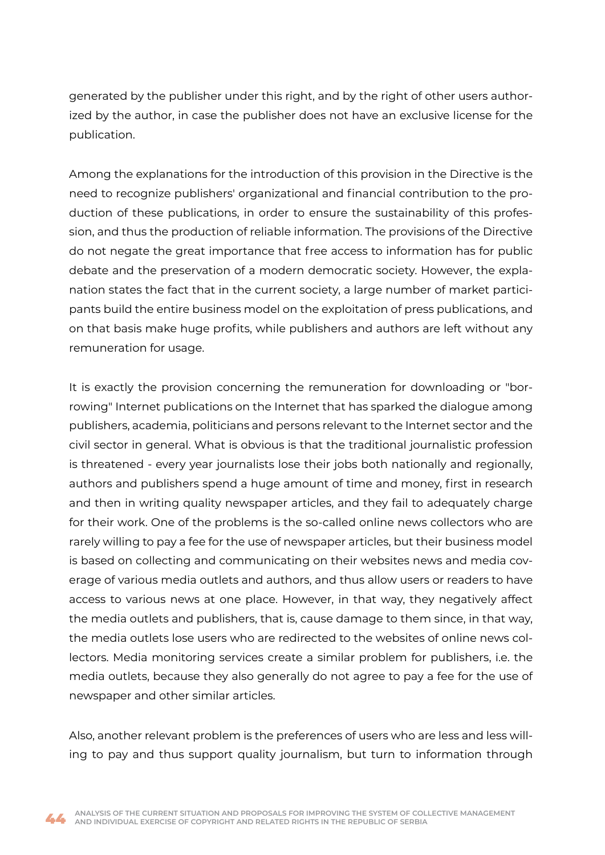generated by the publisher under this right, and by the right of other users authorized by the author, in case the publisher does not have an exclusive license for the publication.

Among the explanations for the introduction of this provision in the Directive is the need to recognize publishers' organizational and financial contribution to the production of these publications, in order to ensure the sustainability of this profession, and thus the production of reliable information. The provisions of the Directive do not negate the great importance that free access to information has for public debate and the preservation of a modern democratic society. However, the explanation states the fact that in the current society, a large number of market participants build the entire business model on the exploitation of press publications, and on that basis make huge profits, while publishers and authors are left without any remuneration for usage.

It is exactly the provision concerning the remuneration for downloading or "borrowing" Internet publications on the Internet that has sparked the dialogue among publishers, academia, politicians and persons relevant to the Internet sector and the civil sector in general. What is obvious is that the traditional journalistic profession is threatened - every year journalists lose their jobs both nationally and regionally, authors and publishers spend a huge amount of time and money, first in research and then in writing quality newspaper articles, and they fail to adequately charge for their work. One of the problems is the so-called online news collectors who are rarely willing to pay a fee for the use of newspaper articles, but their business model is based on collecting and communicating on their websites news and media coverage of various media outlets and authors, and thus allow users or readers to have access to various news at one place. However, in that way, they negatively affect the media outlets and publishers, that is, cause damage to them since, in that way, the media outlets lose users who are redirected to the websites of online news collectors. Media monitoring services create a similar problem for publishers, i.e. the media outlets, because they also generally do not agree to pay a fee for the use of newspaper and other similar articles.

Also, another relevant problem is the preferences of users who are less and less willing to pay and thus support quality journalism, but turn to information through

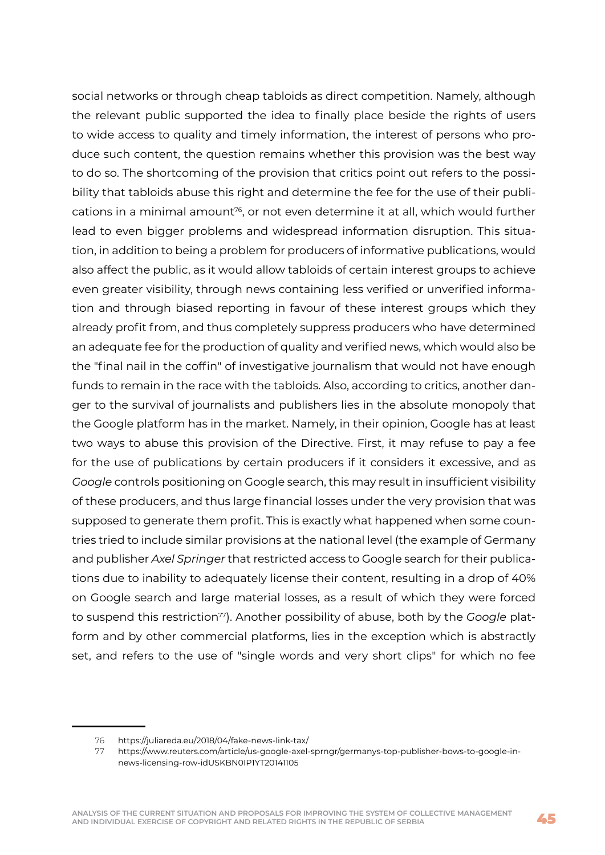social networks or through cheap tabloids as direct competition. Namely, although the relevant public supported the idea to finally place beside the rights of users to wide access to quality and timely information, the interest of persons who produce such content, the question remains whether this provision was the best way to do so. The shortcoming of the provision that critics point out refers to the possibility that tabloids abuse this right and determine the fee for the use of their publications in a minimal amount<sup>76</sup>, or not even determine it at all, which would further lead to even bigger problems and widespread information disruption. This situation, in addition to being a problem for producers of informative publications, would also affect the public, as it would allow tabloids of certain interest groups to achieve even greater visibility, through news containing less verified or unverified information and through biased reporting in favour of these interest groups which they already profit from, and thus completely suppress producers who have determined an adequate fee for the production of quality and verified news, which would also be the "final nail in the coffin" of investigative journalism that would not have enough funds to remain in the race with the tabloids. Also, according to critics, another danger to the survival of journalists and publishers lies in the absolute monopoly that the Google platform has in the market. Namely, in their opinion, Google has at least two ways to abuse this provision of the Directive. First, it may refuse to pay a fee for the use of publications by certain producers if it considers it excessive, and as *Google* controls positioning on Google search, this may result in insufficient visibility of these producers, and thus large financial losses under the very provision that was supposed to generate them profit. This is exactly what happened when some countries tried to include similar provisions at the national level (the example of Germany and publisher *Axel Springer* that restricted access to Google search for their publications due to inability to adequately license their content, resulting in a drop of 40% on Google search and large material losses, as a result of which they were forced to suspend this restriction<sup>77</sup>). Another possibility of abuse, both by the *Google* platform and by other commercial platforms, lies in the exception which is abstractly set, and refers to the use of "single words and very short clips" for which no fee

<sup>76</sup> https://juliareda.eu/2018/04/fake-news-link-tax/

<sup>77</sup> https://www.reuters.com/article/us-google-axel-sprngr/germanys-top-publisher-bows-to-google-innews-licensing-row-idUSKBN0IP1YT20141105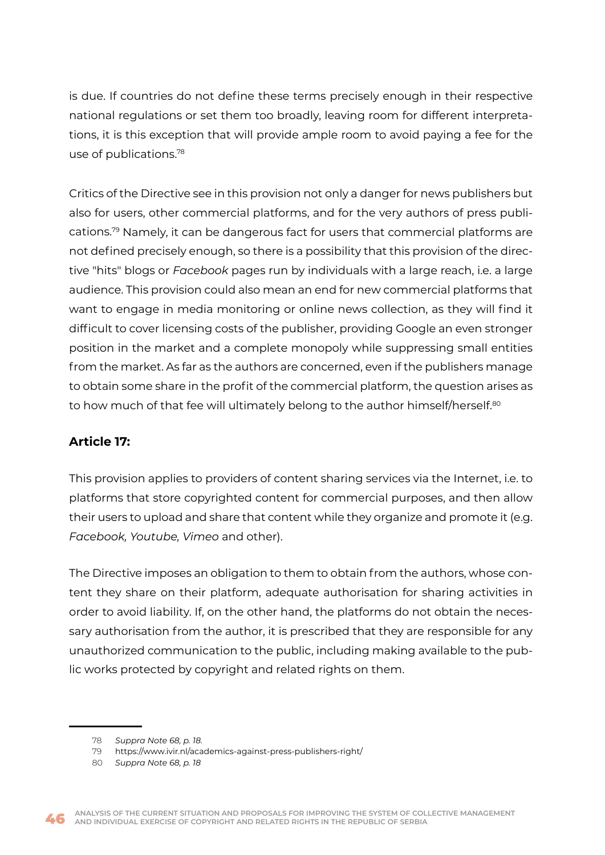is due. If countries do not define these terms precisely enough in their respective national regulations or set them too broadly, leaving room for different interpretations, it is this exception that will provide ample room to avoid paying a fee for the use of publications.78

Critics of the Directive see in this provision not only a danger for news publishers but also for users, other commercial platforms, and for the very authors of press publications.79 Namely, it can be dangerous fact for users that commercial platforms are not defined precisely enough, so there is a possibility that this provision of the directive "hits" blogs or *Facebook* pages run by individuals with a large reach, i.e. a large audience. This provision could also mean an end for new commercial platforms that want to engage in media monitoring or online news collection, as they will find it difficult to cover licensing costs of the publisher, providing Google an even stronger position in the market and a complete monopoly while suppressing small entities from the market. As far as the authors are concerned, even if the publishers manage to obtain some share in the profit of the commercial platform, the question arises as to how much of that fee will ultimately belong to the author himself/herself.<sup>80</sup>

#### **Article 17:**

This provision applies to providers of content sharing services via the Internet, i.e. to platforms that store copyrighted content for commercial purposes, and then allow their users to upload and share that content while they organize and promote it (e.g. *Facebook, Youtube, Vimeo* and other).

The Directive imposes an obligation to them to obtain from the authors, whose content they share on their platform, adequate authorisation for sharing activities in order to avoid liability. If, on the other hand, the platforms do not obtain the necessary authorisation from the author, it is prescribed that they are responsible for any unauthorized communication to the public, including making available to the public works protected by copyright and related rights on them.



<sup>78</sup> *Suppra Note 68, p. 18.*

<sup>79</sup> https://www.ivir.nl/academics-against-press-publishers-right/

<sup>80</sup> *Suppra Note 68, p. 18*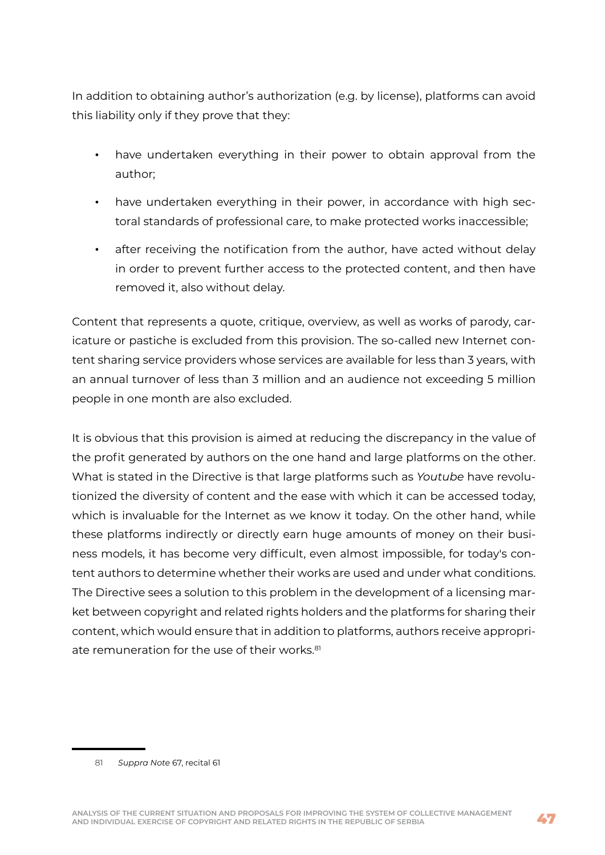In addition to obtaining author's authorization (e.g. by license), platforms can avoid this liability only if they prove that they:

- have undertaken everything in their power to obtain approval from the author;
- have undertaken everything in their power, in accordance with high sectoral standards of professional care, to make protected works inaccessible;
- after receiving the notification from the author, have acted without delay in order to prevent further access to the protected content, and then have removed it, also without delay.

Content that represents a quote, critique, overview, as well as works of parody, caricature or pastiche is excluded from this provision. The so-called new Internet content sharing service providers whose services are available for less than 3 years, with an annual turnover of less than 3 million and an audience not exceeding 5 million people in one month are also excluded.

It is obvious that this provision is aimed at reducing the discrepancy in the value of the profit generated by authors on the one hand and large platforms on the other. What is stated in the Directive is that large platforms such as *Youtube* have revolutionized the diversity of content and the ease with which it can be accessed today, which is invaluable for the Internet as we know it today. On the other hand, while these platforms indirectly or directly earn huge amounts of money on their business models, it has become very difficult, even almost impossible, for today's content authors to determine whether their works are used and under what conditions. The Directive sees a solution to this problem in the development of a licensing market between copyright and related rights holders and the platforms for sharing their content, which would ensure that in addition to platforms, authors receive appropriate remuneration for the use of their works.<sup>81</sup>

<sup>81</sup> *Suppra Note* 67, recital 61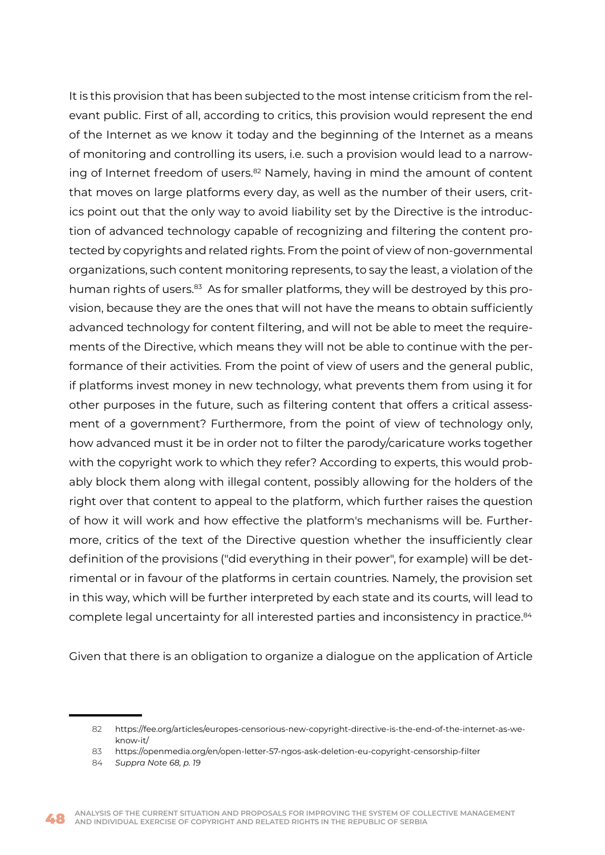It is this provision that has been subjected to the most intense criticism from the relevant public. First of all, according to critics, this provision would represent the end of the Internet as we know it today and the beginning of the Internet as a means of monitoring and controlling its users, i.e. such a provision would lead to a narrowing of Internet freedom of users.<sup>82</sup> Namely, having in mind the amount of content that moves on large platforms every day, as well as the number of their users, critics point out that the only way to avoid liability set by the Directive is the introduction of advanced technology capable of recognizing and filtering the content protected by copyrights and related rights. From the point of view of non-governmental organizations, such content monitoring represents, to say the least, a violation of the human rights of users.<sup>83</sup> As for smaller platforms, they will be destroyed by this provision, because they are the ones that will not have the means to obtain sufficiently advanced technology for content filtering, and will not be able to meet the requirements of the Directive, which means they will not be able to continue with the performance of their activities. From the point of view of users and the general public, if platforms invest money in new technology, what prevents them from using it for other purposes in the future, such as filtering content that offers a critical assessment of a government? Furthermore, from the point of view of technology only, how advanced must it be in order not to filter the parody/caricature works together with the copyright work to which they refer? According to experts, this would probably block them along with illegal content, possibly allowing for the holders of the right over that content to appeal to the platform, which further raises the question of how it will work and how effective the platform's mechanisms will be. Furthermore, critics of the text of the Directive question whether the insufficiently clear definition of the provisions ("did everything in their power", for example) will be detrimental or in favour of the platforms in certain countries. Namely, the provision set in this way, which will be further interpreted by each state and its courts, will lead to complete legal uncertainty for all interested parties and inconsistency in practice.<sup>84</sup>

Given that there is an obligation to organize a dialogue on the application of Article

<sup>82</sup> https://fee.org/articles/europes-censorious-new-copyright-directive-is-the-end-of-the-internet-as-weknow-it/

<sup>83</sup> https://openmedia.org/en/open-letter-57-ngos-ask-deletion-eu-copyright-censorship-filter

<sup>84</sup> *Suppra Note 68, p. 19*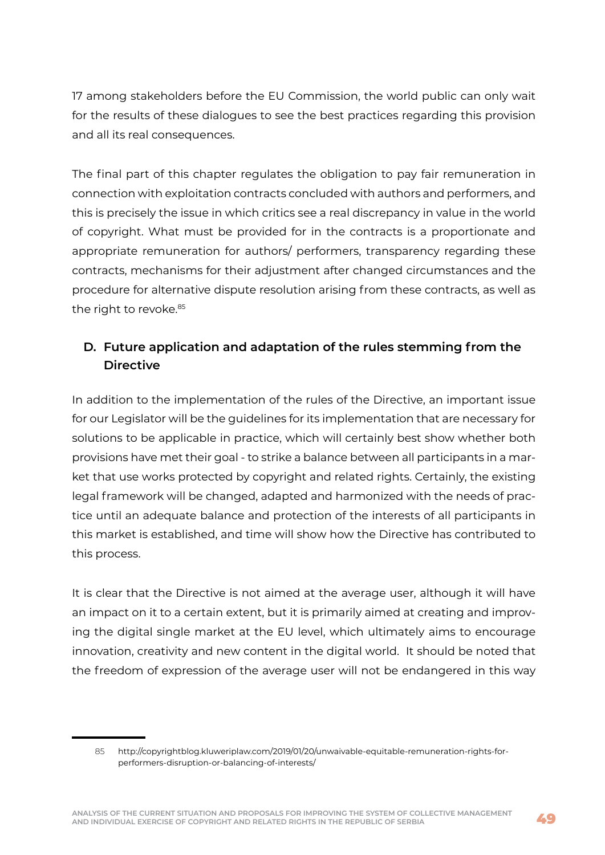17 among stakeholders before the EU Commission, the world public can only wait for the results of these dialogues to see the best practices regarding this provision and all its real consequences.

The final part of this chapter regulates the obligation to pay fair remuneration in connection with exploitation contracts concluded with authors and performers, and this is precisely the issue in which critics see a real discrepancy in value in the world of copyright. What must be provided for in the contracts is a proportionate and appropriate remuneration for authors/ performers, transparency regarding these contracts, mechanisms for their adjustment after changed circumstances and the procedure for alternative dispute resolution arising from these contracts, as well as the right to revoke.<sup>85</sup>

### **D. Future application and adaptation of the rules stemming from the Directive**

In addition to the implementation of the rules of the Directive, an important issue for our Legislator will be the guidelines for its implementation that are necessary for solutions to be applicable in practice, which will certainly best show whether both provisions have met their goal - to strike a balance between all participants in a market that use works protected by copyright and related rights. Certainly, the existing legal framework will be changed, adapted and harmonized with the needs of practice until an adequate balance and protection of the interests of all participants in this market is established, and time will show how the Directive has contributed to this process.

It is clear that the Directive is not aimed at the average user, although it will have an impact on it to a certain extent, but it is primarily aimed at creating and improving the digital single market at the EU level, which ultimately aims to encourage innovation, creativity and new content in the digital world. It should be noted that the freedom of expression of the average user will not be endangered in this way

<sup>85</sup> http://copyrightblog.kluweriplaw.com/2019/01/20/unwaivable-equitable-remuneration-rights-forperformers-disruption-or-balancing-of-interests/